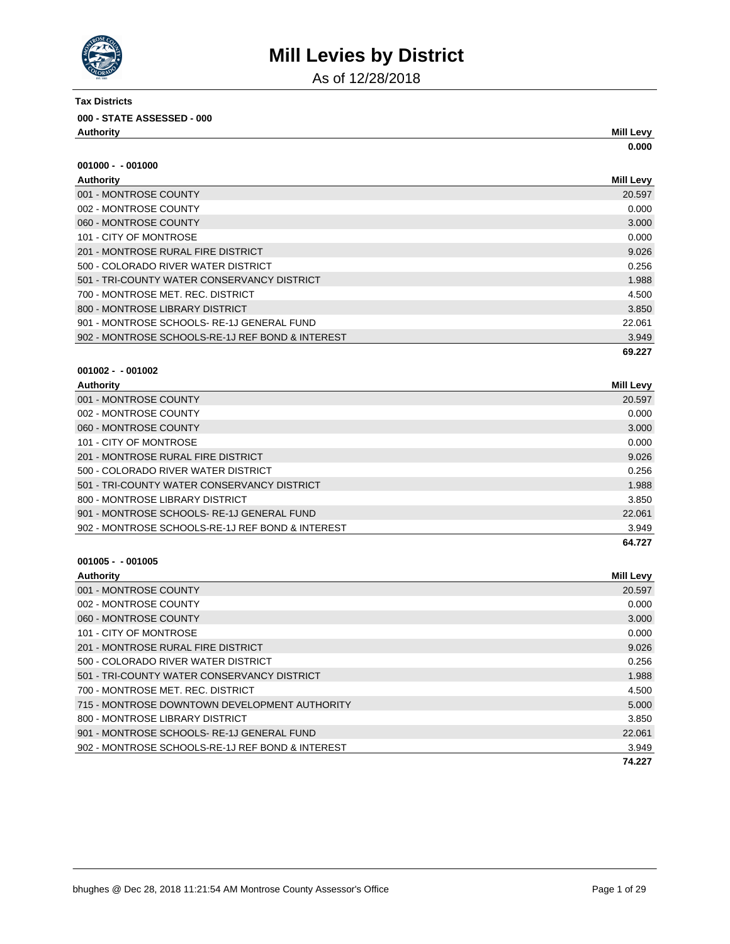

As of 12/28/2018

| <b>Tax Districts</b>                |                  |
|-------------------------------------|------------------|
| 000 - STATE ASSESSED - 000          |                  |
| Authority                           | <b>Mill Levy</b> |
|                                     | 0.000            |
| $001000 - 001000$                   |                  |
| Authority                           | <b>Mill Levy</b> |
| 001 - MONTROSE COUNTY               | 20.597           |
| 002 - MONTROSE COUNTY               | 0.000            |
| 060 - MONTROSE COUNTY               | 3.000            |
| 101 - CITY OF MONTROSE              | 0.000            |
| 201 - MONTROSE RURAL FIRE DISTRICT  | 9.026            |
| 500 - COLORADO RIVER WATER DISTRICT | 0.256            |

|                                                  | 69.227 |
|--------------------------------------------------|--------|
| 902 - MONTROSE SCHOOLS-RE-1J REF BOND & INTEREST | 3.949  |
| 901 - MONTROSE SCHOOLS-RE-1J GENERAL FUND        | 22.061 |
| 800 - MONTROSE LIBRARY DISTRICT                  | 3.850  |
| 700 - MONTROSE MET. REC. DISTRICT                | 4.500  |
| 501 - TRI-COUNTY WATER CONSERVANCY DISTRICT      | 1.988  |
|                                                  |        |

### **001002 - - 001002**

| <b>Authority</b>                                 | Mill Levy |
|--------------------------------------------------|-----------|
| 001 - MONTROSE COUNTY                            | 20.597    |
| 002 - MONTROSE COUNTY                            | 0.000     |
| 060 - MONTROSE COUNTY                            | 3.000     |
| 101 - CITY OF MONTROSE                           | 0.000     |
| 201 - MONTROSE RURAL FIRE DISTRICT               | 9.026     |
| 500 - COLORADO RIVER WATER DISTRICT              | 0.256     |
| 501 - TRI-COUNTY WATER CONSERVANCY DISTRICT      | 1.988     |
| 800 - MONTROSE LIBRARY DISTRICT                  | 3.850     |
| 901 - MONTROSE SCHOOLS-RE-1J GENERAL FUND        | 22.061    |
| 902 - MONTROSE SCHOOLS-RE-1J REF BOND & INTEREST | 3.949     |
|                                                  | 64.727    |

| <b>Authority</b>                                 | <b>Mill Levy</b> |
|--------------------------------------------------|------------------|
| 001 - MONTROSE COUNTY                            | 20.597           |
| 002 - MONTROSE COUNTY                            | 0.000            |
| 060 - MONTROSE COUNTY                            | 3.000            |
| 101 - CITY OF MONTROSE                           | 0.000            |
| 201 - MONTROSE RURAL FIRE DISTRICT               | 9.026            |
| 500 - COLORADO RIVER WATER DISTRICT              | 0.256            |
| 501 - TRI-COUNTY WATER CONSERVANCY DISTRICT      | 1.988            |
| 700 - MONTROSE MET. REC. DISTRICT                | 4.500            |
| 715 - MONTROSE DOWNTOWN DEVELOPMENT AUTHORITY    | 5.000            |
| 800 - MONTROSE LIBRARY DISTRICT                  | 3.850            |
| 901 - MONTROSE SCHOOLS-RE-1J GENERAL FUND        | 22,061           |
| 902 - MONTROSE SCHOOLS-RE-1J REF BOND & INTEREST | 3.949            |
|                                                  | 74.227           |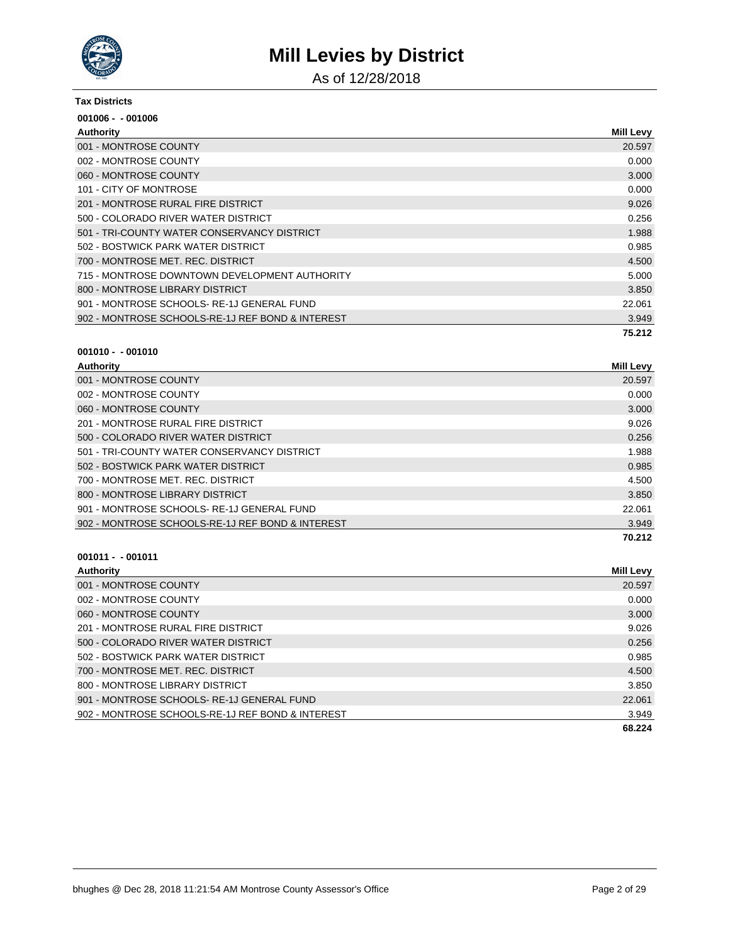

As of 12/28/2018

#### **Tax Districts**

| $001006 - 001006$                                |                  |
|--------------------------------------------------|------------------|
| Authority                                        | <b>Mill Levy</b> |
| 001 - MONTROSE COUNTY                            | 20.597           |
| 002 - MONTROSE COUNTY                            | 0.000            |
| 060 - MONTROSE COUNTY                            | 3.000            |
| 101 - CITY OF MONTROSE                           | 0.000            |
| 201 - MONTROSE RURAL FIRE DISTRICT               | 9.026            |
| 500 - COLORADO RIVER WATER DISTRICT              | 0.256            |
| 501 - TRI-COUNTY WATER CONSERVANCY DISTRICT      | 1.988            |
| 502 - BOSTWICK PARK WATER DISTRICT               | 0.985            |
| 700 - MONTROSE MET, REC. DISTRICT                | 4.500            |
| 715 - MONTROSE DOWNTOWN DEVELOPMENT AUTHORITY    | 5.000            |
| 800 - MONTROSE LIBRARY DISTRICT                  | 3.850            |
| 901 - MONTROSE SCHOOLS-RE-1J GENERAL FUND        | 22.061           |
| 902 - MONTROSE SCHOOLS-RE-1J REF BOND & INTEREST | 3.949            |
|                                                  | 75.212           |

# **001010 - - 001010**

| Authority                            | <b>Mill Levy</b> |
|--------------------------------------|------------------|
| 001 - MONTROSE COUNTY                | 20.597           |
| 002 - MONTROSE COUNTY                | 0.000            |
| 060 - MONTROSE COUNTY                | 3.000            |
| 201 - MONTROSE RURAL FIRE DISTRICT   | 9.026            |
| 500 - COI ORADO RIVER WATER DISTRICT | 0.256            |

|                                                  | 70.212 |
|--------------------------------------------------|--------|
| 902 - MONTROSE SCHOOLS-RE-1J REF BOND & INTEREST | 3.949  |
| 901 - MONTROSE SCHOOLS- RE-1J GENERAL FUND       | 22.061 |
| 800 - MONTROSE LIBRARY DISTRICT                  | 3.850  |
| 700 - MONTROSE MET. REC. DISTRICT                | 4.500  |
| 502 - BOSTWICK PARK WATER DISTRICT               | 0.985  |
| 501 - TRI-COUNTY WATER CONSERVANCY DISTRICT      | 1.988  |
| 500 - COLORADO RIVER WATER DISTRICT              | 0.256  |

| <b>Authority</b>                                 | Mill Levy |
|--------------------------------------------------|-----------|
| 001 - MONTROSE COUNTY                            | 20.597    |
| 002 - MONTROSE COUNTY                            | 0.000     |
| 060 - MONTROSE COUNTY                            | 3.000     |
| 201 - MONTROSE RURAL FIRE DISTRICT               | 9.026     |
| 500 - COLORADO RIVER WATER DISTRICT              | 0.256     |
| 502 - BOSTWICK PARK WATER DISTRICT               | 0.985     |
| 700 - MONTROSE MET. REC. DISTRICT                | 4.500     |
| 800 - MONTROSE LIBRARY DISTRICT                  | 3.850     |
| 901 - MONTROSE SCHOOLS-RE-1J GENERAL FUND        | 22.061    |
| 902 - MONTROSE SCHOOLS-RE-1J REF BOND & INTEREST | 3.949     |
|                                                  | 68.224    |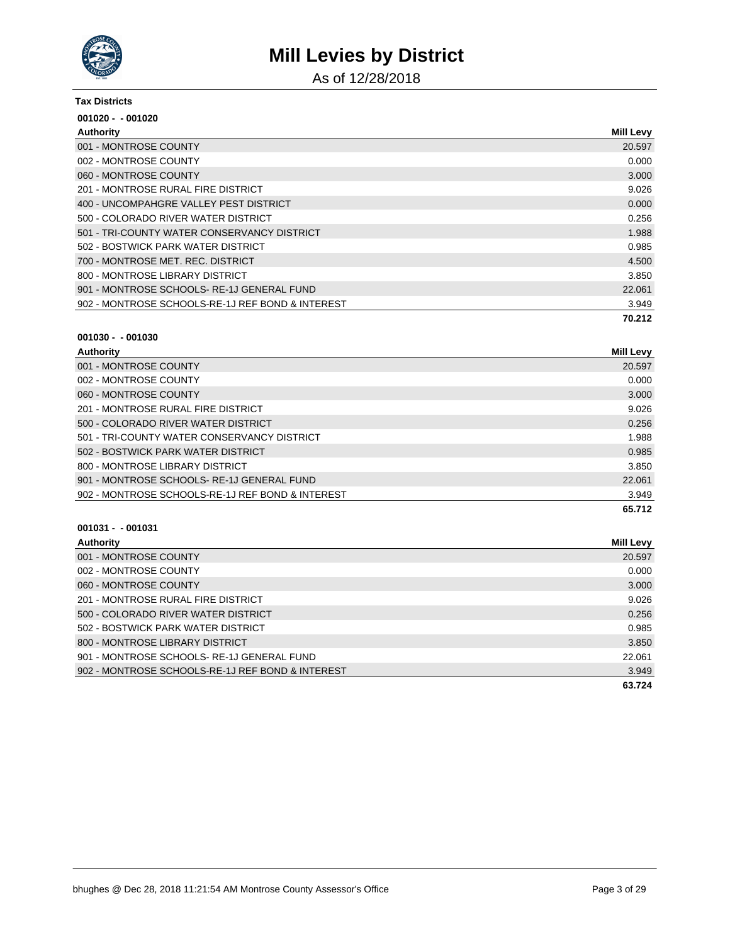

As of 12/28/2018

#### **Tax Districts**

| $001020 - 001020$                                |                  |
|--------------------------------------------------|------------------|
| Authority                                        | <b>Mill Levy</b> |
| 001 - MONTROSE COUNTY                            | 20.597           |
| 002 - MONTROSE COUNTY                            | 0.000            |
| 060 - MONTROSE COUNTY                            | 3.000            |
| 201 - MONTROSE RURAL FIRE DISTRICT               | 9.026            |
| 400 - UNCOMPAHGRE VALLEY PEST DISTRICT           | 0.000            |
| 500 - COLORADO RIVER WATER DISTRICT              | 0.256            |
| 501 - TRI-COUNTY WATER CONSERVANCY DISTRICT      | 1.988            |
| 502 - BOSTWICK PARK WATER DISTRICT               | 0.985            |
| 700 - MONTROSE MET. REC. DISTRICT                | 4.500            |
| 800 - MONTROSE LIBRARY DISTRICT                  | 3.850            |
| 901 - MONTROSE SCHOOLS-RE-1J GENERAL FUND        | 22.061           |
| 902 - MONTROSE SCHOOLS-RE-1J REF BOND & INTEREST | 3.949            |
|                                                  | 70.212           |

#### **001030 - - 001030**

| <b>Authority</b>                                 | Mill Levy |
|--------------------------------------------------|-----------|
| 001 - MONTROSE COUNTY                            | 20.597    |
| 002 - MONTROSE COUNTY                            | 0.000     |
| 060 - MONTROSE COUNTY                            | 3.000     |
| 201 - MONTROSE RURAL FIRE DISTRICT               | 9.026     |
| 500 - COLORADO RIVER WATER DISTRICT              | 0.256     |
| 501 - TRI-COUNTY WATER CONSERVANCY DISTRICT      | 1.988     |
| 502 - BOSTWICK PARK WATER DISTRICT               | 0.985     |
| 800 - MONTROSE LIBRARY DISTRICT                  | 3.850     |
| 901 - MONTROSE SCHOOLS-RE-1J GENERAL FUND        | 22.061    |
| 902 - MONTROSE SCHOOLS-RE-1J REF BOND & INTEREST | 3.949     |
|                                                  | 65.712    |

| <b>Authority</b>                                 | Mill Levy |
|--------------------------------------------------|-----------|
| 001 - MONTROSE COUNTY                            | 20.597    |
| 002 - MONTROSE COUNTY                            | 0.000     |
| 060 - MONTROSE COUNTY                            | 3.000     |
| 201 - MONTROSE RURAL FIRE DISTRICT               | 9.026     |
| 500 - COLORADO RIVER WATER DISTRICT              | 0.256     |
| 502 - BOSTWICK PARK WATER DISTRICT               | 0.985     |
| 800 - MONTROSE LIBRARY DISTRICT                  | 3.850     |
| 901 - MONTROSE SCHOOLS-RE-1J GENERAL FUND        | 22.061    |
| 902 - MONTROSE SCHOOLS-RE-1J REF BOND & INTEREST | 3.949     |
|                                                  | 63.724    |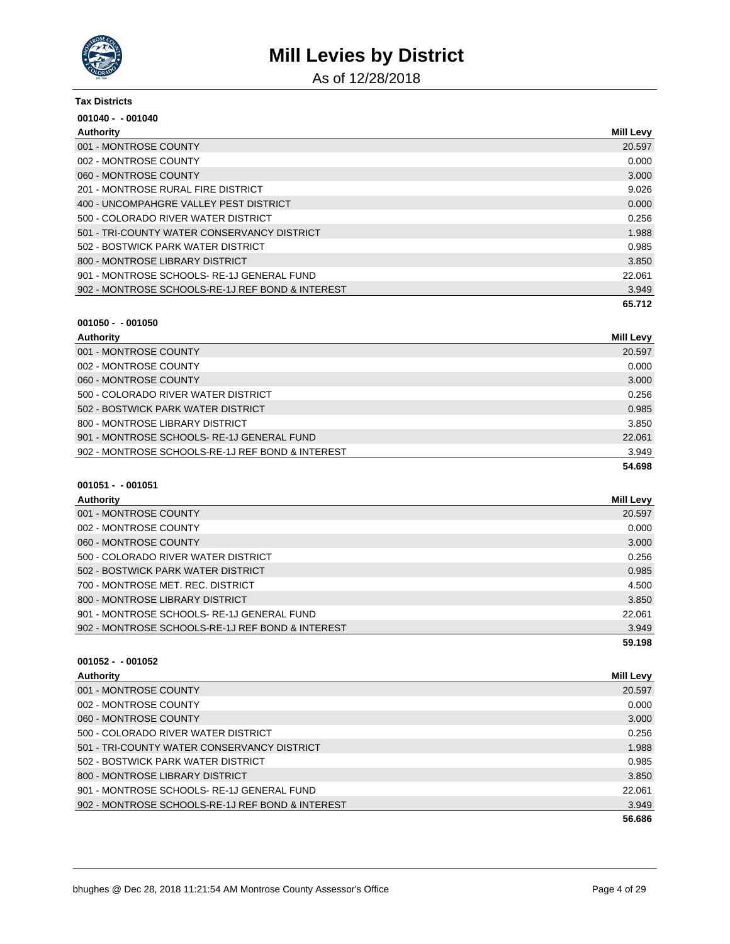

As of 12/28/2018

#### **Tax Districts**

| $001040 - 001040$                                |                  |
|--------------------------------------------------|------------------|
| Authority                                        | <b>Mill Levy</b> |
| 001 - MONTROSE COUNTY                            | 20.597           |
| 002 - MONTROSE COUNTY                            | 0.000            |
| 060 - MONTROSE COUNTY                            | 3.000            |
| 201 - MONTROSE RURAL FIRE DISTRICT               | 9.026            |
| 400 - UNCOMPAHGRE VALLEY PEST DISTRICT           | 0.000            |
| 500 - COLORADO RIVER WATER DISTRICT              | 0.256            |
| 501 - TRI-COUNTY WATER CONSERVANCY DISTRICT      | 1.988            |
| 502 - BOSTWICK PARK WATER DISTRICT               | 0.985            |
| 800 - MONTROSE LIBRARY DISTRICT                  | 3.850            |
| 901 - MONTROSE SCHOOLS-RE-1J GENERAL FUND        | 22.061           |
| 902 - MONTROSE SCHOOLS-RE-1J REF BOND & INTEREST | 3.949            |
|                                                  | 65.712           |

#### **001050 - - 001050**

| Authority                                        | Mill Levy |
|--------------------------------------------------|-----------|
| 001 - MONTROSE COUNTY                            | 20.597    |
| 002 - MONTROSE COUNTY                            | 0.000     |
| 060 - MONTROSE COUNTY                            | 3.000     |
| 500 - COLORADO RIVER WATER DISTRICT              | 0.256     |
| 502 - BOSTWICK PARK WATER DISTRICT               | 0.985     |
| 800 - MONTROSE LIBRARY DISTRICT                  | 3.850     |
| 901 - MONTROSE SCHOOLS-RE-1J GENERAL FUND        | 22.061    |
| 902 - MONTROSE SCHOOLS-RE-1J REF BOND & INTEREST | 3.949     |
|                                                  | 54.698    |

### **001051 - - 001051**

| Mill Levy |
|-----------|
| 20.597    |
| 0.000     |
| 3.000     |
| 0.256     |
| 0.985     |
| 4.500     |
| 3.850     |
| 22.061    |
| 3.949     |
| 59.198    |
|           |

| Authority                                        | Mill Levy |
|--------------------------------------------------|-----------|
| 001 - MONTROSE COUNTY                            | 20.597    |
| 002 - MONTROSE COUNTY                            | 0.000     |
| 060 - MONTROSE COUNTY                            | 3.000     |
| 500 - COLORADO RIVER WATER DISTRICT              | 0.256     |
| 501 - TRI-COUNTY WATER CONSERVANCY DISTRICT      | 1.988     |
| 502 - BOSTWICK PARK WATER DISTRICT               | 0.985     |
| 800 - MONTROSE LIBRARY DISTRICT                  | 3.850     |
| 901 - MONTROSE SCHOOLS-RE-1J GENERAL FUND        | 22.061    |
| 902 - MONTROSE SCHOOLS-RE-1J REF BOND & INTEREST | 3.949     |
|                                                  | 56.686    |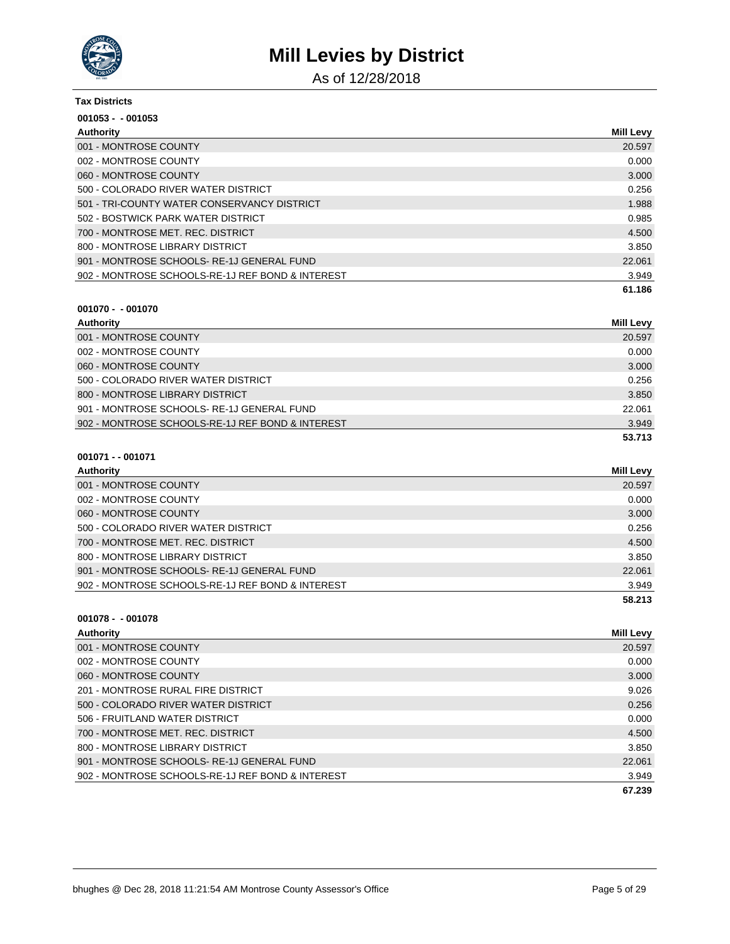

As of 12/28/2018

| <b>Tax Districts</b>                             |                  |
|--------------------------------------------------|------------------|
| $001053 - 001053$                                |                  |
| Authority                                        | <b>Mill Levy</b> |
| 001 - MONTROSE COUNTY                            | 20.597           |
| 002 - MONTROSE COUNTY                            | 0.000            |
| 060 - MONTROSE COUNTY                            | 3.000            |
| 500 - COLORADO RIVER WATER DISTRICT              | 0.256            |
| 501 - TRI-COUNTY WATER CONSERVANCY DISTRICT      | 1.988            |
| 502 - BOSTWICK PARK WATER DISTRICT               | 0.985            |
| 700 - MONTROSE MET, REC. DISTRICT                | 4.500            |
| 800 - MONTROSE LIBRARY DISTRICT                  | 3.850            |
| 901 - MONTROSE SCHOOLS-RE-1J GENERAL FUND        | 22.061           |
| 902 - MONTROSE SCHOOLS-RE-1J REF BOND & INTEREST | 3.949            |
|                                                  | 61.186           |

#### **001070 - - 001070**

| Authority                                        | <b>Mill Levy</b> |
|--------------------------------------------------|------------------|
| 001 - MONTROSE COUNTY                            | 20.597           |
| 002 - MONTROSE COUNTY                            | 0.000            |
| 060 - MONTROSE COUNTY                            | 3.000            |
| 500 - COLORADO RIVER WATER DISTRICT              | 0.256            |
| 800 - MONTROSE LIBRARY DISTRICT                  | 3.850            |
| 901 - MONTROSE SCHOOLS-RE-1J GENERAL FUND        | 22.061           |
| 902 - MONTROSE SCHOOLS-RE-1J REF BOND & INTEREST | 3.949            |
|                                                  | 53.713           |

#### **001071 - - 001071**

| Authority                                        | Mill Levy |
|--------------------------------------------------|-----------|
| 001 - MONTROSE COUNTY                            | 20.597    |
| 002 - MONTROSE COUNTY                            | 0.000     |
| 060 - MONTROSE COUNTY                            | 3.000     |
| 500 - COLORADO RIVER WATER DISTRICT              | 0.256     |
| 700 - MONTROSE MET. REC. DISTRICT                | 4.500     |
| 800 - MONTROSE LIBRARY DISTRICT                  | 3.850     |
| 901 - MONTROSE SCHOOLS-RE-1J GENERAL FUND        | 22.061    |
| 902 - MONTROSE SCHOOLS-RE-1J REF BOND & INTEREST | 3.949     |
|                                                  | 58.213    |

| Authority                                        | Mill Levy |
|--------------------------------------------------|-----------|
| 001 - MONTROSE COUNTY                            | 20.597    |
| 002 - MONTROSE COUNTY                            | 0.000     |
| 060 - MONTROSE COUNTY                            | 3.000     |
| 201 - MONTROSE RURAL FIRE DISTRICT               | 9.026     |
| 500 - COLORADO RIVER WATER DISTRICT              | 0.256     |
| 506 - FRUITLAND WATER DISTRICT                   | 0.000     |
| 700 - MONTROSE MET, REC. DISTRICT                | 4.500     |
| 800 - MONTROSE LIBRARY DISTRICT                  | 3.850     |
| 901 - MONTROSE SCHOOLS-RE-1J GENERAL FUND        | 22.061    |
| 902 - MONTROSE SCHOOLS-RE-1J REF BOND & INTEREST | 3.949     |
|                                                  | 67.239    |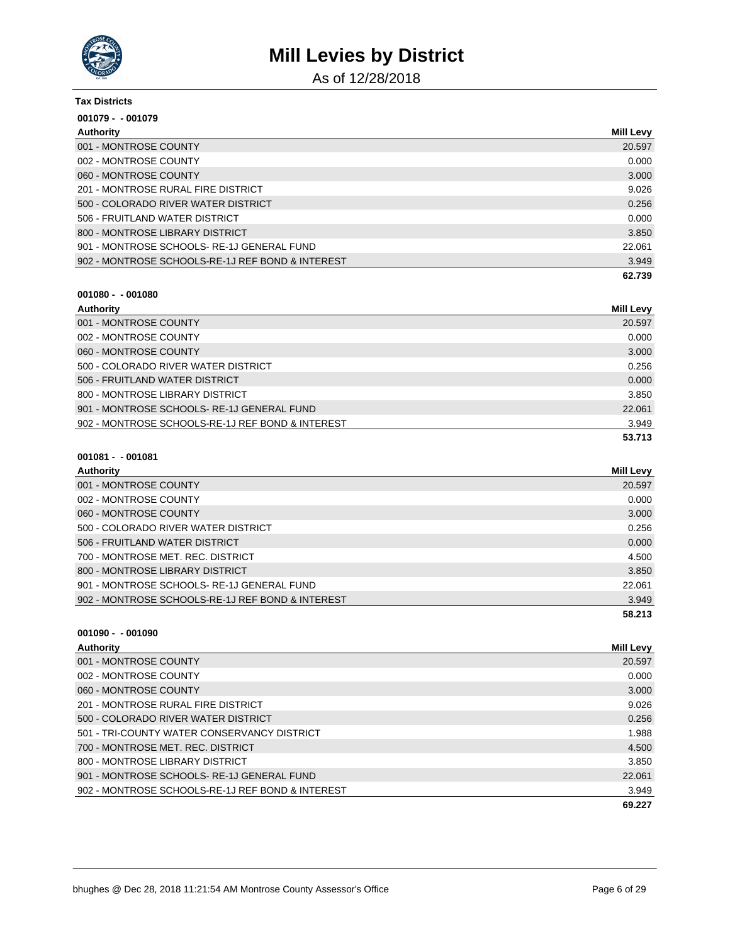

As of 12/28/2018

| <b>Tax Districts</b>                             |                  |
|--------------------------------------------------|------------------|
| $001079 - 001079$                                |                  |
| Authority                                        | <b>Mill Levy</b> |
| 001 - MONTROSE COUNTY                            | 20.597           |
| 002 - MONTROSE COUNTY                            | 0.000            |
| 060 - MONTROSE COUNTY                            | 3.000            |
| 201 - MONTROSE RURAL FIRE DISTRICT               | 9.026            |
| 500 - COLORADO RIVER WATER DISTRICT              | 0.256            |
| 506 - FRUITLAND WATER DISTRICT                   | 0.000            |
| 800 - MONTROSE LIBRARY DISTRICT                  | 3.850            |
| 901 - MONTROSE SCHOOLS-RE-1J GENERAL FUND        | 22.061           |
| 902 - MONTROSE SCHOOLS-RE-1J REF BOND & INTEREST | 3.949            |
|                                                  | 62.739           |

| Authority             | <b>Mill Levv</b> |
|-----------------------|------------------|
| 001 - MONTROSE COUNTY | 20.597           |
| 002 - MONTROSE COUNTY | 0.000            |

|                                                  | 53.713 |
|--------------------------------------------------|--------|
| 902 - MONTROSE SCHOOLS-RE-1J REF BOND & INTEREST | 3.949  |
| 901 - MONTROSE SCHOOLS-RE-1J GENERAL FUND        | 22,061 |
| 800 - MONTROSE LIBRARY DISTRICT                  | 3.850  |
| 506 - FRUITLAND WATER DISTRICT                   | 0.000  |
| 500 - COLORADO RIVER WATER DISTRICT              | 0.256  |
| 060 - MONTROSE COUNTY                            | 3.000  |
| 002 - MONTROSE COUNTY                            | 0.000  |
| 001 - MONTROSE COUNTY                            | 20.597 |

| 001081 - - 001081 |  |  |  |  |
|-------------------|--|--|--|--|
|-------------------|--|--|--|--|

**001090 - - 001090**

| Authority                                        | Mill Levy |
|--------------------------------------------------|-----------|
| 001 - MONTROSE COUNTY                            | 20.597    |
| 002 - MONTROSE COUNTY                            | 0.000     |
| 060 - MONTROSE COUNTY                            | 3.000     |
| 500 - COLORADO RIVER WATER DISTRICT              | 0.256     |
| 506 - FRUITLAND WATER DISTRICT                   | 0.000     |
| 700 - MONTROSE MET. REC. DISTRICT                | 4.500     |
| 800 - MONTROSE LIBRARY DISTRICT                  | 3.850     |
| 901 - MONTROSE SCHOOLS-RE-1J GENERAL FUND        | 22.061    |
| 902 - MONTROSE SCHOOLS-RE-1J REF BOND & INTEREST | 3.949     |
|                                                  | 58.213    |

| <b>Authority</b>                                 | <b>Mill Levy</b> |
|--------------------------------------------------|------------------|
| 001 - MONTROSE COUNTY                            | 20.597           |
| 002 - MONTROSE COUNTY                            | 0.000            |
| 060 - MONTROSE COUNTY                            | 3.000            |
| 201 - MONTROSE RURAL FIRE DISTRICT               | 9.026            |
| 500 - COLORADO RIVER WATER DISTRICT              | 0.256            |
| 501 - TRI-COUNTY WATER CONSERVANCY DISTRICT      | 1.988            |
| 700 - MONTROSE MET, REC. DISTRICT                | 4.500            |
| 800 - MONTROSE LIBRARY DISTRICT                  | 3.850            |
| 901 - MONTROSE SCHOOLS-RE-1J GENERAL FUND        | 22.061           |
| 902 - MONTROSE SCHOOLS-RE-1J REF BOND & INTEREST | 3.949            |
|                                                  | 69.227           |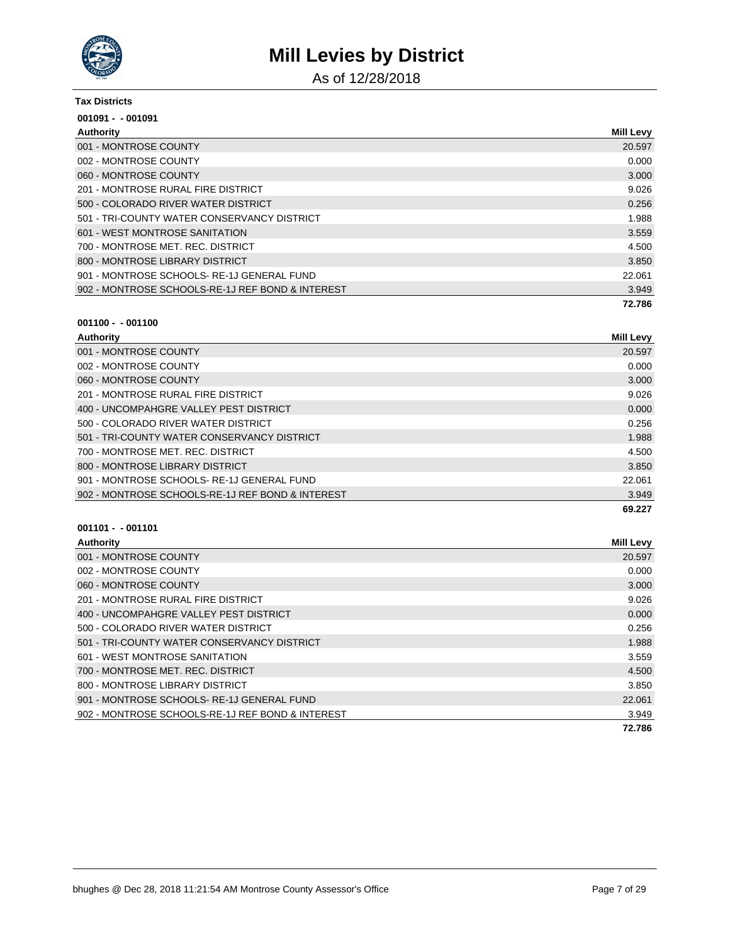

As of 12/28/2018

#### **Tax Districts**

| $001091 - 001091$                                |                  |
|--------------------------------------------------|------------------|
| Authority                                        | <b>Mill Levy</b> |
| 001 - MONTROSE COUNTY                            | 20.597           |
| 002 - MONTROSE COUNTY                            | 0.000            |
| 060 - MONTROSE COUNTY                            | 3.000            |
| 201 - MONTROSE RURAL FIRE DISTRICT               | 9.026            |
| 500 - COLORADO RIVER WATER DISTRICT              | 0.256            |
| 501 - TRI-COUNTY WATER CONSERVANCY DISTRICT      | 1.988            |
| 601 - WEST MONTROSE SANITATION                   | 3.559            |
| 700 - MONTROSE MET. REC. DISTRICT                | 4.500            |
| 800 - MONTROSE LIBRARY DISTRICT                  | 3.850            |
| 901 - MONTROSE SCHOOLS-RE-1J GENERAL FUND        | 22.061           |
| 902 - MONTROSE SCHOOLS-RE-1J REF BOND & INTEREST | 3.949            |
|                                                  | 72.786           |

### **001100 - - 001100**

| Authority                                        | Mill Levy |
|--------------------------------------------------|-----------|
| 001 - MONTROSE COUNTY                            | 20.597    |
| 002 - MONTROSE COUNTY                            | 0.000     |
| 060 - MONTROSE COUNTY                            | 3.000     |
| 201 - MONTROSE RURAL FIRE DISTRICT               | 9.026     |
| 400 - UNCOMPAHGRE VALLEY PEST DISTRICT           | 0.000     |
| 500 - COLORADO RIVER WATER DISTRICT              | 0.256     |
| 501 - TRI-COUNTY WATER CONSERVANCY DISTRICT      | 1.988     |
| 700 - MONTROSE MET. REC. DISTRICT                | 4.500     |
| 800 - MONTROSE LIBRARY DISTRICT                  | 3.850     |
| 901 - MONTROSE SCHOOLS-RE-1J GENERAL FUND        | 22.061    |
| 902 - MONTROSE SCHOOLS-RE-1J REF BOND & INTEREST | 3.949     |
|                                                  | 69.227    |

| Authority                                        | <b>Mill Levy</b> |
|--------------------------------------------------|------------------|
| 001 - MONTROSE COUNTY                            | 20.597           |
| 002 - MONTROSE COUNTY                            | 0.000            |
| 060 - MONTROSE COUNTY                            | 3.000            |
| 201 - MONTROSE RURAL FIRE DISTRICT               | 9.026            |
| 400 - UNCOMPAHGRE VALLEY PEST DISTRICT           | 0.000            |
| 500 - COLORADO RIVER WATER DISTRICT              | 0.256            |
| 501 - TRI-COUNTY WATER CONSERVANCY DISTRICT      | 1.988            |
| 601 - WEST MONTROSE SANITATION                   | 3.559            |
| 700 - MONTROSE MET, REC. DISTRICT                | 4.500            |
| 800 - MONTROSE LIBRARY DISTRICT                  | 3.850            |
| 901 - MONTROSE SCHOOLS-RE-1J GENERAL FUND        | 22,061           |
| 902 - MONTROSE SCHOOLS-RE-1J REF BOND & INTEREST | 3.949            |
|                                                  | 72.786           |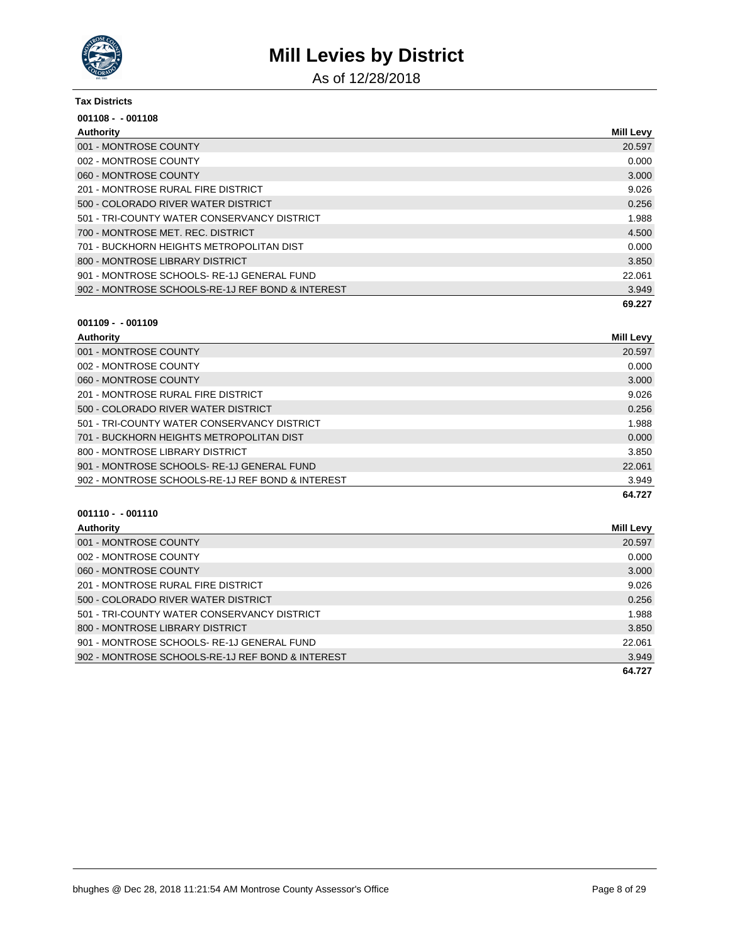

As of 12/28/2018

#### **Tax Districts**

| $001108 - 001108$                                |                  |
|--------------------------------------------------|------------------|
| Authority                                        | <b>Mill Levy</b> |
| 001 - MONTROSE COUNTY                            | 20.597           |
| 002 - MONTROSE COUNTY                            | 0.000            |
| 060 - MONTROSE COUNTY                            | 3.000            |
| 201 - MONTROSE RURAL FIRE DISTRICT               | 9.026            |
| 500 - COLORADO RIVER WATER DISTRICT              | 0.256            |
| 501 - TRI-COUNTY WATER CONSERVANCY DISTRICT      | 1.988            |
| 700 - MONTROSE MET. REC. DISTRICT                | 4.500            |
| 701 - BUCKHORN HEIGHTS METROPOLITAN DIST         | 0.000            |
| 800 - MONTROSE LIBRARY DISTRICT                  | 3.850            |
| 901 - MONTROSE SCHOOLS-RE-1J GENERAL FUND        | 22.061           |
| 902 - MONTROSE SCHOOLS-RE-1J REF BOND & INTEREST | 3.949            |
|                                                  | 69.227           |

### **001109 - - 001109**

| Authority                                        | <b>Mill Levy</b> |
|--------------------------------------------------|------------------|
| 001 - MONTROSE COUNTY                            | 20.597           |
| 002 - MONTROSE COUNTY                            | 0.000            |
| 060 - MONTROSE COUNTY                            | 3.000            |
| 201 - MONTROSE RURAL FIRE DISTRICT               | 9.026            |
| 500 - COLORADO RIVER WATER DISTRICT              | 0.256            |
| 501 - TRI-COUNTY WATER CONSERVANCY DISTRICT      | 1.988            |
| 701 - BUCKHORN HEIGHTS METROPOLITAN DIST         | 0.000            |
| 800 - MONTROSE LIBRARY DISTRICT                  | 3.850            |
| 901 - MONTROSE SCHOOLS-RE-1J GENERAL FUND        | 22.061           |
| 902 - MONTROSE SCHOOLS-RE-1J REF BOND & INTEREST | 3.949            |
|                                                  | 64.727           |

| Authority                                        | Mill Levy |
|--------------------------------------------------|-----------|
| 001 - MONTROSE COUNTY                            | 20.597    |
| 002 - MONTROSE COUNTY                            | 0.000     |
| 060 - MONTROSE COUNTY                            | 3.000     |
| 201 - MONTROSE RURAL FIRE DISTRICT               | 9.026     |
| 500 - COLORADO RIVER WATER DISTRICT              | 0.256     |
| 501 - TRI-COUNTY WATER CONSERVANCY DISTRICT      | 1.988     |
| 800 - MONTROSE LIBRARY DISTRICT                  | 3.850     |
| 901 - MONTROSE SCHOOLS-RE-1J GENERAL FUND        | 22.061    |
| 902 - MONTROSE SCHOOLS-RE-1J REF BOND & INTEREST | 3.949     |
|                                                  | 64.727    |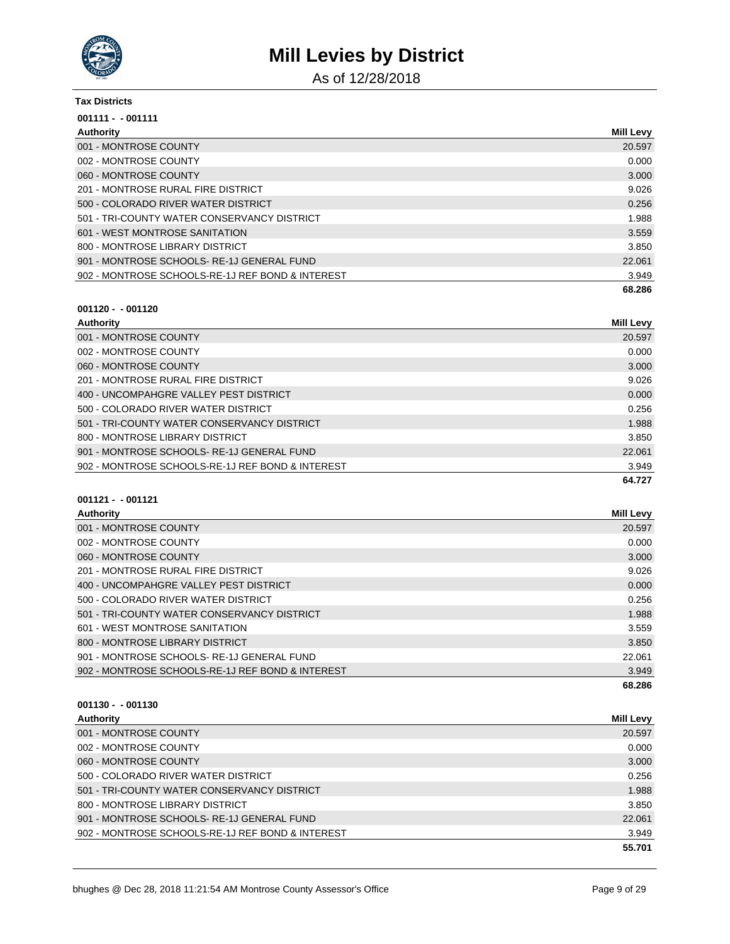

As of 12/28/2018

#### **Tax Districts**

| $001111 - 001111$                                |                  |
|--------------------------------------------------|------------------|
| Authority                                        | <b>Mill Levy</b> |
| 001 - MONTROSE COUNTY                            | 20.597           |
| 002 - MONTROSE COUNTY                            | 0.000            |
| 060 - MONTROSE COUNTY                            | 3.000            |
| 201 - MONTROSE RURAL FIRE DISTRICT               | 9.026            |
| 500 - COLORADO RIVER WATER DISTRICT              | 0.256            |
| 501 - TRI-COUNTY WATER CONSERVANCY DISTRICT      | 1.988            |
| 601 - WEST MONTROSE SANITATION                   | 3.559            |
| 800 - MONTROSE LIBRARY DISTRICT                  | 3.850            |
| 901 - MONTROSE SCHOOLS-RE-1J GENERAL FUND        | 22.061           |
| 902 - MONTROSE SCHOOLS-RE-1J REF BOND & INTEREST | 3.949            |
|                                                  | 68.286           |

### **001120 - - 001120**

| Authority                                        | Mill Levy |
|--------------------------------------------------|-----------|
| 001 - MONTROSE COUNTY                            | 20.597    |
| 002 - MONTROSE COUNTY                            | 0.000     |
| 060 - MONTROSE COUNTY                            | 3.000     |
| 201 - MONTROSE RURAL FIRE DISTRICT               | 9.026     |
| 400 - UNCOMPAHGRE VALLEY PEST DISTRICT           | 0.000     |
| 500 - COLORADO RIVER WATER DISTRICT              | 0.256     |
| 501 - TRI-COUNTY WATER CONSERVANCY DISTRICT      | 1.988     |
| 800 - MONTROSE LIBRARY DISTRICT                  | 3.850     |
| 901 - MONTROSE SCHOOLS-RE-1J GENERAL FUND        | 22.061    |
| 902 - MONTROSE SCHOOLS-RE-1J REF BOND & INTEREST | 3.949     |
|                                                  | 64.727    |

### **001121 - - 001121**

| Authority                                        | <b>Mill Levy</b> |
|--------------------------------------------------|------------------|
| 001 - MONTROSE COUNTY                            | 20.597           |
| 002 - MONTROSE COUNTY                            | 0.000            |
| 060 - MONTROSE COUNTY                            | 3.000            |
| 201 - MONTROSE RURAL FIRE DISTRICT               | 9.026            |
| 400 - UNCOMPAHGRE VALLEY PEST DISTRICT           | 0.000            |
| 500 - COLORADO RIVER WATER DISTRICT              | 0.256            |
| 501 - TRI-COUNTY WATER CONSERVANCY DISTRICT      | 1.988            |
| 601 - WEST MONTROSE SANITATION                   | 3.559            |
| 800 - MONTROSE LIBRARY DISTRICT                  | 3.850            |
| 901 - MONTROSE SCHOOLS-RE-1J GENERAL FUND        | 22.061           |
| 902 - MONTROSE SCHOOLS-RE-1J REF BOND & INTEREST | 3.949            |
|                                                  | 68.286           |

| Authority                                        | <b>Mill Levy</b> |
|--------------------------------------------------|------------------|
| 001 - MONTROSE COUNTY                            | 20.597           |
| 002 - MONTROSE COUNTY                            | 0.000            |
| 060 - MONTROSE COUNTY                            | 3.000            |
| 500 - COLORADO RIVER WATER DISTRICT              | 0.256            |
| 501 - TRI-COUNTY WATER CONSERVANCY DISTRICT      | 1.988            |
| 800 - MONTROSE LIBRARY DISTRICT                  | 3.850            |
| 901 - MONTROSE SCHOOLS-RE-1J GENERAL FUND        | 22.061           |
| 902 - MONTROSE SCHOOLS-RE-1J REF BOND & INTEREST | 3.949            |
|                                                  | 55.701           |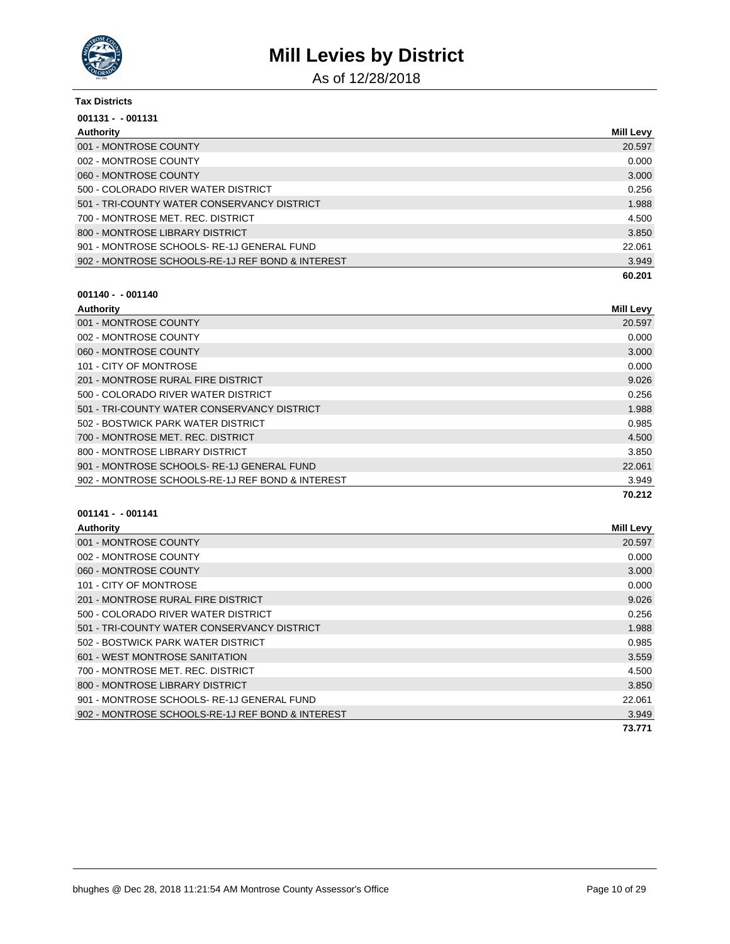

As of 12/28/2018

| <b>Tax Districts</b>                             |                  |
|--------------------------------------------------|------------------|
| $001131 - 001131$                                |                  |
| Authority                                        | <b>Mill Levy</b> |
| 001 - MONTROSE COUNTY                            | 20.597           |
| 002 - MONTROSE COUNTY                            | 0.000            |
| 060 - MONTROSE COUNTY                            | 3.000            |
| 500 - COLORADO RIVER WATER DISTRICT              | 0.256            |
| 501 - TRI-COUNTY WATER CONSERVANCY DISTRICT      | 1.988            |
| 700 - MONTROSE MET. REC. DISTRICT                | 4.500            |
| 800 - MONTROSE LIBRARY DISTRICT                  | 3.850            |
| 901 - MONTROSE SCHOOLS-RE-1J GENERAL FUND        | 22.061           |
| 902 - MONTROSE SCHOOLS-RE-1J REF BOND & INTEREST | 3.949            |
|                                                  | 60.201           |

### **001140 - - 001140**

| Authority                                        | <b>Mill Levy</b> |
|--------------------------------------------------|------------------|
| 001 - MONTROSE COUNTY                            | 20.597           |
| 002 - MONTROSE COUNTY                            | 0.000            |
| 060 - MONTROSE COUNTY                            | 3.000            |
| 101 - CITY OF MONTROSE                           | 0.000            |
| 201 - MONTROSE RURAL FIRE DISTRICT               | 9.026            |
| 500 - COLORADO RIVER WATER DISTRICT              | 0.256            |
| 501 - TRI-COUNTY WATER CONSERVANCY DISTRICT      | 1.988            |
| 502 - BOSTWICK PARK WATER DISTRICT               | 0.985            |
| 700 - MONTROSE MET, REC. DISTRICT                | 4.500            |
| 800 - MONTROSE LIBRARY DISTRICT                  | 3.850            |
| 901 - MONTROSE SCHOOLS-RE-1J GENERAL FUND        | 22,061           |
| 902 - MONTROSE SCHOOLS-RE-1J REF BOND & INTEREST | 3.949            |
|                                                  | 70.212           |

| Authority                                        | <b>Mill Levy</b> |
|--------------------------------------------------|------------------|
| 001 - MONTROSE COUNTY                            | 20.597           |
| 002 - MONTROSE COUNTY                            | 0.000            |
| 060 - MONTROSE COUNTY                            | 3.000            |
| 101 - CITY OF MONTROSE                           | 0.000            |
| 201 - MONTROSE RURAL FIRE DISTRICT               | 9.026            |
| 500 - COLORADO RIVER WATER DISTRICT              | 0.256            |
| 501 - TRI-COUNTY WATER CONSERVANCY DISTRICT      | 1.988            |
| 502 - BOSTWICK PARK WATER DISTRICT               | 0.985            |
| 601 - WEST MONTROSE SANITATION                   | 3.559            |
| 700 - MONTROSE MET. REC. DISTRICT                | 4.500            |
| 800 - MONTROSE LIBRARY DISTRICT                  | 3.850            |
| 901 - MONTROSE SCHOOLS-RE-1J GENERAL FUND        | 22.061           |
| 902 - MONTROSE SCHOOLS-RE-1J REF BOND & INTEREST | 3.949            |
|                                                  | 73.771           |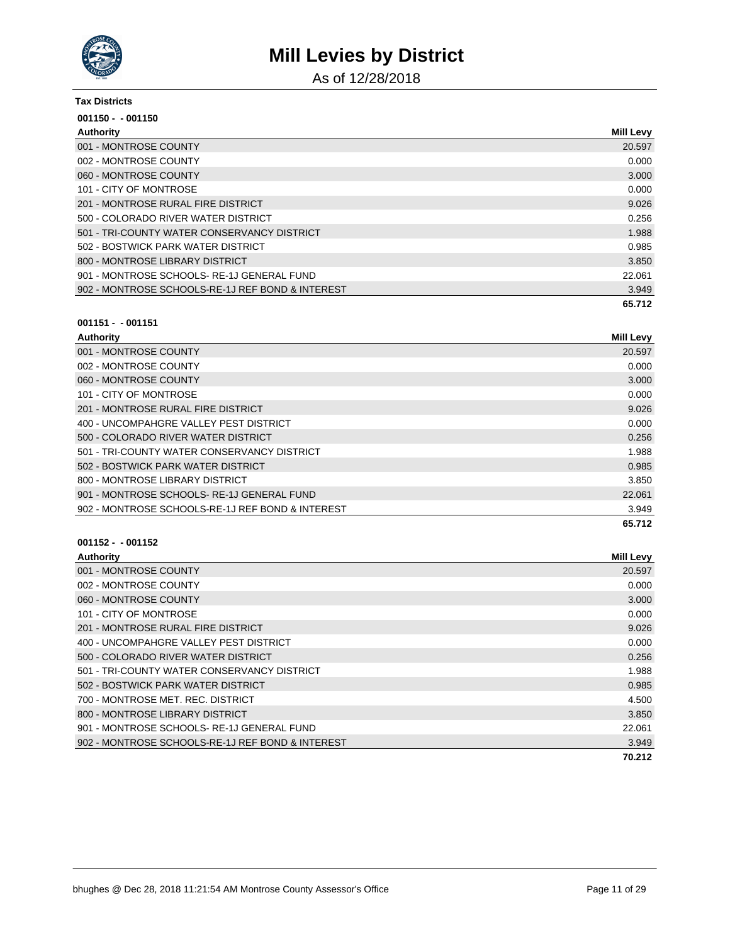

As of 12/28/2018

#### **Tax Districts**

| $001150 - 001150$                                |                  |
|--------------------------------------------------|------------------|
| Authority                                        | <b>Mill Levy</b> |
| 001 - MONTROSE COUNTY                            | 20.597           |
| 002 - MONTROSE COUNTY                            | 0.000            |
| 060 - MONTROSE COUNTY                            | 3.000            |
| 101 - CITY OF MONTROSE                           | 0.000            |
| 201 - MONTROSE RURAL FIRE DISTRICT               | 9.026            |
| 500 - COLORADO RIVER WATER DISTRICT              | 0.256            |
| 501 - TRI-COUNTY WATER CONSERVANCY DISTRICT      | 1.988            |
| 502 - BOSTWICK PARK WATER DISTRICT               | 0.985            |
| 800 - MONTROSE LIBRARY DISTRICT                  | 3.850            |
| 901 - MONTROSE SCHOOLS-RE-1J GENERAL FUND        | 22.061           |
| 902 - MONTROSE SCHOOLS-RE-1J REF BOND & INTEREST | 3.949            |
|                                                  | 65.712           |

### **001151 - - 001151**

| Authority                                        | <b>Mill Levy</b> |
|--------------------------------------------------|------------------|
| 001 - MONTROSE COUNTY                            | 20.597           |
| 002 - MONTROSE COUNTY                            | 0.000            |
| 060 - MONTROSE COUNTY                            | 3.000            |
| 101 - CITY OF MONTROSE                           | 0.000            |
| 201 - MONTROSE RURAL FIRE DISTRICT               | 9.026            |
| 400 - UNCOMPAHGRE VALLEY PEST DISTRICT           | 0.000            |
| 500 - COLORADO RIVER WATER DISTRICT              | 0.256            |
| 501 - TRI-COUNTY WATER CONSERVANCY DISTRICT      | 1.988            |
| 502 - BOSTWICK PARK WATER DISTRICT               | 0.985            |
| 800 - MONTROSE LIBRARY DISTRICT                  | 3.850            |
| 901 - MONTROSE SCHOOLS-RE-1J GENERAL FUND        | 22.061           |
| 902 - MONTROSE SCHOOLS-RE-1J REF BOND & INTEREST | 3.949            |
|                                                  | 65.712           |

| Authority                                        | <b>Mill Levy</b> |
|--------------------------------------------------|------------------|
| 001 - MONTROSE COUNTY                            | 20.597           |
| 002 - MONTROSE COUNTY                            | 0.000            |
| 060 - MONTROSE COUNTY                            | 3.000            |
| 101 - CITY OF MONTROSE                           | 0.000            |
| 201 - MONTROSE RURAL FIRE DISTRICT               | 9.026            |
| 400 - UNCOMPAHGRE VALLEY PEST DISTRICT           | 0.000            |
| 500 - COLORADO RIVER WATER DISTRICT              | 0.256            |
| 501 - TRI-COUNTY WATER CONSERVANCY DISTRICT      | 1.988            |
| 502 - BOSTWICK PARK WATER DISTRICT               | 0.985            |
| 700 - MONTROSE MET. REC. DISTRICT                | 4.500            |
| 800 - MONTROSE LIBRARY DISTRICT                  | 3.850            |
| 901 - MONTROSE SCHOOLS-RE-1J GENERAL FUND        | 22.061           |
| 902 - MONTROSE SCHOOLS-RE-1J REF BOND & INTEREST | 3.949            |
|                                                  | 70.212           |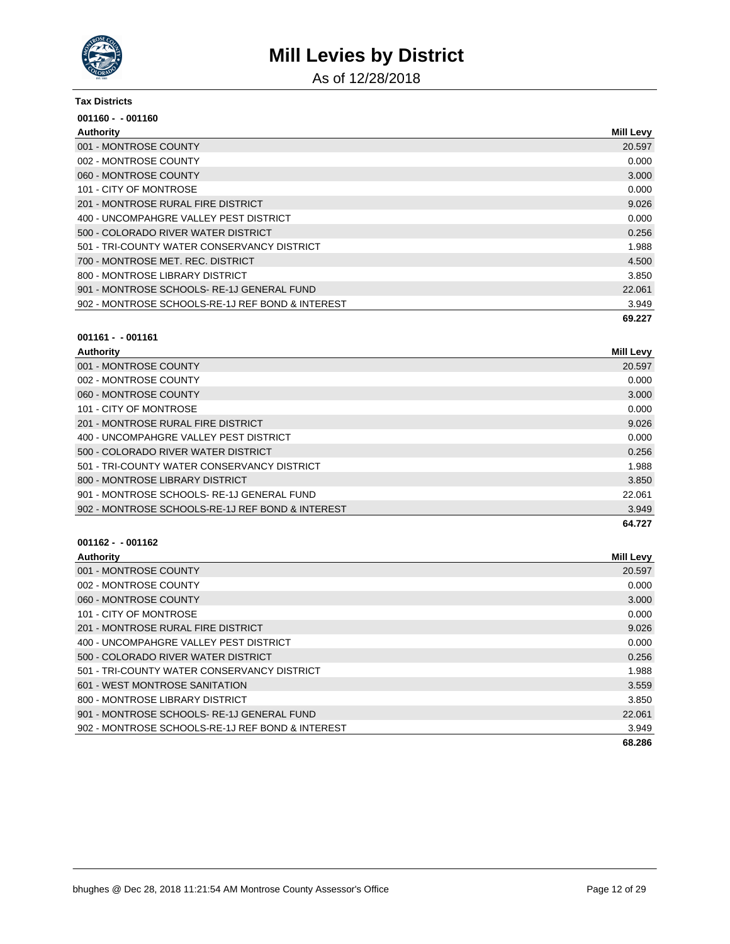

As of 12/28/2018

#### **Tax Districts**

| $001160 - 001160$                                |                  |
|--------------------------------------------------|------------------|
| Authority                                        | <b>Mill Levy</b> |
| 001 - MONTROSE COUNTY                            | 20.597           |
| 002 - MONTROSE COUNTY                            | 0.000            |
| 060 - MONTROSE COUNTY                            | 3.000            |
| 101 - CITY OF MONTROSE                           | 0.000            |
| 201 - MONTROSE RURAL FIRE DISTRICT               | 9.026            |
| 400 - UNCOMPAHGRE VALLEY PEST DISTRICT           | 0.000            |
| 500 - COLORADO RIVER WATER DISTRICT              | 0.256            |
| 501 - TRI-COUNTY WATER CONSERVANCY DISTRICT      | 1.988            |
| 700 - MONTROSE MET. REC. DISTRICT                | 4.500            |
| 800 - MONTROSE LIBRARY DISTRICT                  | 3.850            |
| 901 - MONTROSE SCHOOLS-RE-1J GENERAL FUND        | 22.061           |
| 902 - MONTROSE SCHOOLS-RE-1J REF BOND & INTEREST | 3.949            |
|                                                  | 69.227           |

#### **001161 - - 001161**

| Authority                                        | <b>Mill Levy</b> |
|--------------------------------------------------|------------------|
| 001 - MONTROSE COUNTY                            | 20.597           |
| 002 - MONTROSE COUNTY                            | 0.000            |
| 060 - MONTROSE COUNTY                            | 3.000            |
| 101 - CITY OF MONTROSE                           | 0.000            |
| 201 - MONTROSE RURAL FIRE DISTRICT               | 9.026            |
| 400 - UNCOMPAHGRE VALLEY PEST DISTRICT           | 0.000            |
| 500 - COLORADO RIVER WATER DISTRICT              | 0.256            |
| 501 - TRI-COUNTY WATER CONSERVANCY DISTRICT      | 1.988            |
| 800 - MONTROSE LIBRARY DISTRICT                  | 3.850            |
| 901 - MONTROSE SCHOOLS-RE-1J GENERAL FUND        | 22.061           |
| 902 - MONTROSE SCHOOLS-RE-1J REF BOND & INTEREST | 3.949            |
|                                                  | 64.727           |

| Authority                                        | <b>Mill Levy</b> |
|--------------------------------------------------|------------------|
| 001 - MONTROSE COUNTY                            | 20.597           |
| 002 - MONTROSE COUNTY                            | 0.000            |
| 060 - MONTROSE COUNTY                            | 3.000            |
| 101 - CITY OF MONTROSE                           | 0.000            |
| 201 - MONTROSE RURAL FIRE DISTRICT               | 9.026            |
| 400 - UNCOMPAHGRE VALLEY PEST DISTRICT           | 0.000            |
| 500 - COLORADO RIVER WATER DISTRICT              | 0.256            |
| 501 - TRI-COUNTY WATER CONSERVANCY DISTRICT      | 1.988            |
| 601 - WEST MONTROSE SANITATION                   | 3.559            |
| 800 - MONTROSE LIBRARY DISTRICT                  | 3.850            |
| 901 - MONTROSE SCHOOLS-RE-1J GENERAL FUND        | 22,061           |
| 902 - MONTROSE SCHOOLS-RE-1J REF BOND & INTEREST | 3.949            |
|                                                  | 68.286           |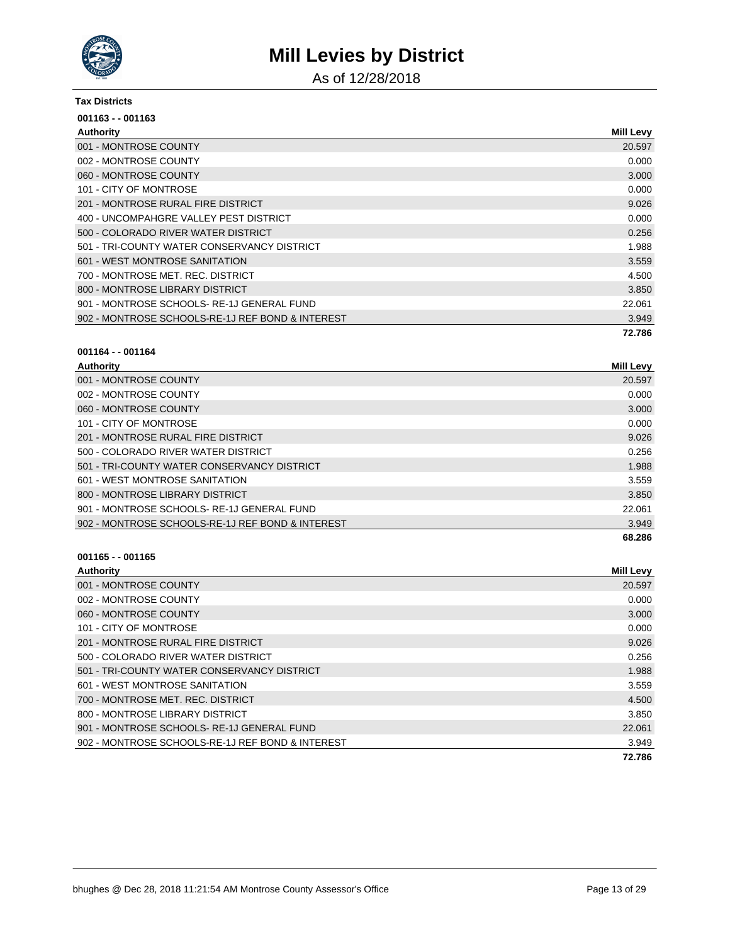

As of 12/28/2018

#### **Tax Districts**

| $001163 - 001163$                                |                  |
|--------------------------------------------------|------------------|
| Authority                                        | <b>Mill Levy</b> |
| 001 - MONTROSE COUNTY                            | 20.597           |
| 002 - MONTROSE COUNTY                            | 0.000            |
| 060 - MONTROSE COUNTY                            | 3.000            |
| 101 - CITY OF MONTROSE                           | 0.000            |
| 201 - MONTROSE RURAL FIRE DISTRICT               | 9.026            |
| 400 - UNCOMPAHGRE VALLEY PEST DISTRICT           | 0.000            |
| 500 - COLORADO RIVER WATER DISTRICT              | 0.256            |
| 501 - TRI-COUNTY WATER CONSERVANCY DISTRICT      | 1.988            |
| 601 - WEST MONTROSE SANITATION                   | 3.559            |
| 700 - MONTROSE MET. REC. DISTRICT                | 4.500            |
| 800 - MONTROSE LIBRARY DISTRICT                  | 3.850            |
| 901 - MONTROSE SCHOOLS-RE-1J GENERAL FUND        | 22.061           |
| 902 - MONTROSE SCHOOLS-RE-1J REF BOND & INTEREST | 3.949            |
|                                                  | 72.786           |

### **001164 - - 001164**

| Authority                                        | <b>Mill Levy</b> |
|--------------------------------------------------|------------------|
| 001 - MONTROSE COUNTY                            | 20.597           |
| 002 - MONTROSE COUNTY                            | 0.000            |
| 060 - MONTROSE COUNTY                            | 3.000            |
| 101 - CITY OF MONTROSE                           | 0.000            |
| 201 - MONTROSE RURAL FIRE DISTRICT               | 9.026            |
| 500 - COLORADO RIVER WATER DISTRICT              | 0.256            |
| 501 - TRI-COUNTY WATER CONSERVANCY DISTRICT      | 1.988            |
| 601 - WEST MONTROSE SANITATION                   | 3.559            |
| 800 - MONTROSE LIBRARY DISTRICT                  | 3.850            |
| 901 - MONTROSE SCHOOLS-RE-1J GENERAL FUND        | 22.061           |
| 902 - MONTROSE SCHOOLS-RE-1J REF BOND & INTEREST | 3.949            |
|                                                  | 68.286           |

| Authority                                        | <b>Mill Levy</b> |
|--------------------------------------------------|------------------|
| 001 - MONTROSE COUNTY                            | 20.597           |
| 002 - MONTROSE COUNTY                            | 0.000            |
| 060 - MONTROSE COUNTY                            | 3.000            |
| 101 - CITY OF MONTROSE                           | 0.000            |
| 201 - MONTROSE RURAL FIRE DISTRICT               | 9.026            |
| 500 - COLORADO RIVER WATER DISTRICT              | 0.256            |
| 501 - TRI-COUNTY WATER CONSERVANCY DISTRICT      | 1.988            |
| 601 - WEST MONTROSE SANITATION                   | 3.559            |
| 700 - MONTROSE MET. REC. DISTRICT                | 4.500            |
| 800 - MONTROSE LIBRARY DISTRICT                  | 3.850            |
| 901 - MONTROSE SCHOOLS-RE-1J GENERAL FUND        | 22,061           |
| 902 - MONTROSE SCHOOLS-RE-1J REF BOND & INTEREST | 3.949            |
|                                                  | 72.786           |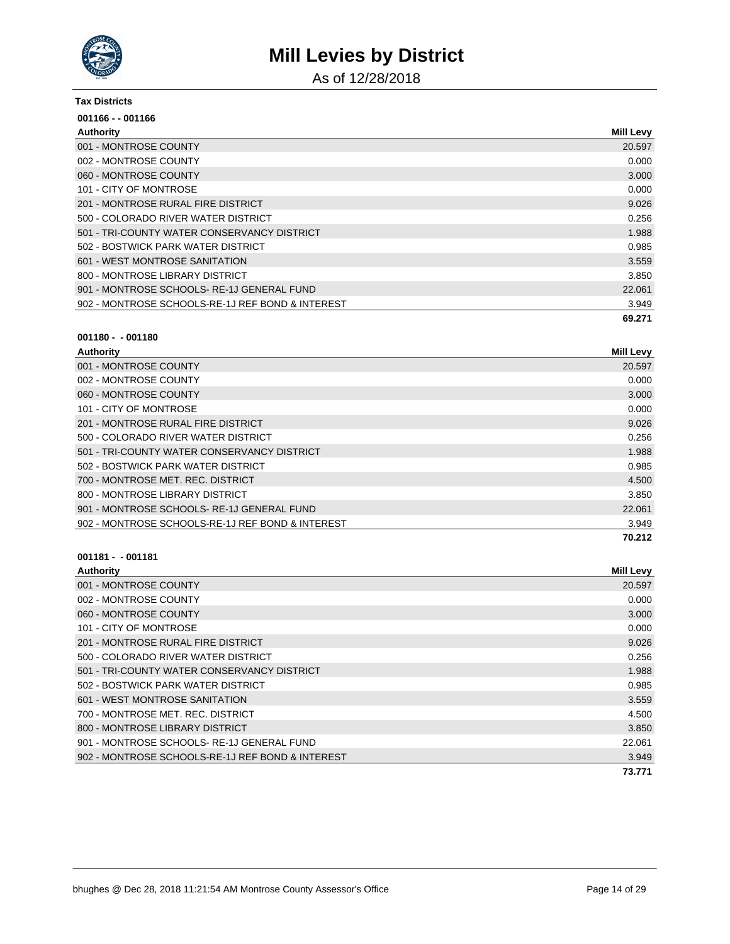

As of 12/28/2018

#### **Tax Districts**

| 001166 - - 001166                                |                  |
|--------------------------------------------------|------------------|
| Authority                                        | <b>Mill Levy</b> |
| 001 - MONTROSE COUNTY                            | 20.597           |
| 002 - MONTROSE COUNTY                            | 0.000            |
| 060 - MONTROSE COUNTY                            | 3.000            |
| 101 - CITY OF MONTROSE                           | 0.000            |
| 201 - MONTROSE RURAL FIRE DISTRICT               | 9.026            |
| 500 - COLORADO RIVER WATER DISTRICT              | 0.256            |
| 501 - TRI-COUNTY WATER CONSERVANCY DISTRICT      | 1.988            |
| 502 - BOSTWICK PARK WATER DISTRICT               | 0.985            |
| 601 - WEST MONTROSE SANITATION                   | 3.559            |
| 800 - MONTROSE LIBRARY DISTRICT                  | 3.850            |
| 901 - MONTROSE SCHOOLS-RE-1J GENERAL FUND        | 22.061           |
| 902 - MONTROSE SCHOOLS-RE-1J REF BOND & INTEREST | 3.949            |
|                                                  | 69.271           |

#### **001180 - - 001180**

| Authority                                        | <b>Mill Levy</b> |
|--------------------------------------------------|------------------|
| 001 - MONTROSE COUNTY                            | 20.597           |
| 002 - MONTROSE COUNTY                            | 0.000            |
| 060 - MONTROSE COUNTY                            | 3.000            |
| 101 - CITY OF MONTROSE                           | 0.000            |
| 201 - MONTROSE RURAL FIRE DISTRICT               | 9.026            |
| 500 - COLORADO RIVER WATER DISTRICT              | 0.256            |
| 501 - TRI-COUNTY WATER CONSERVANCY DISTRICT      | 1.988            |
| 502 - BOSTWICK PARK WATER DISTRICT               | 0.985            |
| 700 - MONTROSE MET. REC. DISTRICT                | 4.500            |
| 800 - MONTROSE LIBRARY DISTRICT                  | 3.850            |
| 901 - MONTROSE SCHOOLS-RE-1J GENERAL FUND        | 22,061           |
| 902 - MONTROSE SCHOOLS-RE-1J REF BOND & INTEREST | 3.949            |
|                                                  | 70.212           |

| Authority                                        | <b>Mill Levy</b> |
|--------------------------------------------------|------------------|
| 001 - MONTROSE COUNTY                            | 20.597           |
| 002 - MONTROSE COUNTY                            | 0.000            |
| 060 - MONTROSE COUNTY                            | 3.000            |
| 101 - CITY OF MONTROSE                           | 0.000            |
| 201 - MONTROSE RURAL FIRE DISTRICT               | 9.026            |
| 500 - COLORADO RIVER WATER DISTRICT              | 0.256            |
| 501 - TRI-COUNTY WATER CONSERVANCY DISTRICT      | 1.988            |
| 502 - BOSTWICK PARK WATER DISTRICT               | 0.985            |
| 601 - WEST MONTROSE SANITATION                   | 3.559            |
| 700 - MONTROSE MET. REC. DISTRICT                | 4.500            |
| 800 - MONTROSE LIBRARY DISTRICT                  | 3.850            |
| 901 - MONTROSE SCHOOLS-RE-1J GENERAL FUND        | 22.061           |
| 902 - MONTROSE SCHOOLS-RE-1J REF BOND & INTEREST | 3.949            |
|                                                  | 73.771           |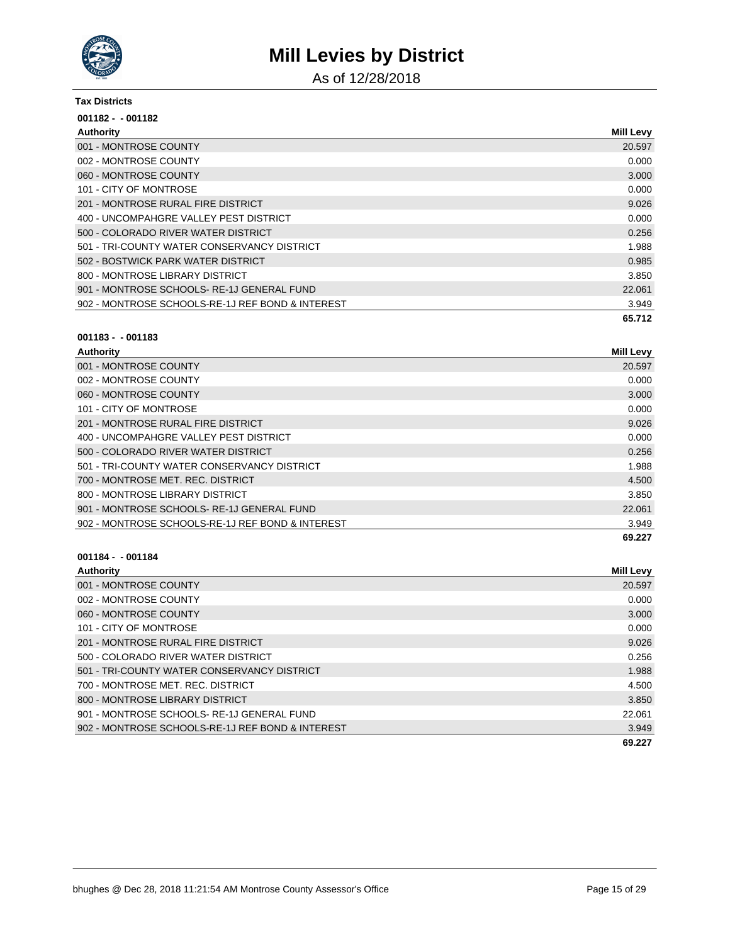

As of 12/28/2018

#### **Tax Districts**

| $001182 - 001182$                                |                  |
|--------------------------------------------------|------------------|
| Authority                                        | <b>Mill Levy</b> |
| 001 - MONTROSE COUNTY                            | 20.597           |
| 002 - MONTROSE COUNTY                            | 0.000            |
| 060 - MONTROSE COUNTY                            | 3.000            |
| 101 - CITY OF MONTROSE                           | 0.000            |
| 201 - MONTROSE RURAL FIRE DISTRICT               | 9.026            |
| 400 - UNCOMPAHGRE VALLEY PEST DISTRICT           | 0.000            |
| 500 - COLORADO RIVER WATER DISTRICT              | 0.256            |
| 501 - TRI-COUNTY WATER CONSERVANCY DISTRICT      | 1.988            |
| 502 - BOSTWICK PARK WATER DISTRICT               | 0.985            |
| 800 - MONTROSE LIBRARY DISTRICT                  | 3.850            |
| 901 - MONTROSE SCHOOLS-RE-1J GENERAL FUND        | 22.061           |
| 902 - MONTROSE SCHOOLS-RE-1J REF BOND & INTEREST | 3.949            |
|                                                  | 65.712           |

#### **001183 - - 001183**

| Authority                                        | <b>Mill Levy</b> |
|--------------------------------------------------|------------------|
| 001 - MONTROSE COUNTY                            | 20.597           |
| 002 - MONTROSE COUNTY                            | 0.000            |
| 060 - MONTROSE COUNTY                            | 3.000            |
| 101 - CITY OF MONTROSE                           | 0.000            |
| 201 - MONTROSE RURAL FIRE DISTRICT               | 9.026            |
| 400 - UNCOMPAHGRE VALLEY PEST DISTRICT           | 0.000            |
| 500 - COLORADO RIVER WATER DISTRICT              | 0.256            |
| 501 - TRI-COUNTY WATER CONSERVANCY DISTRICT      | 1.988            |
| 700 - MONTROSE MET. REC. DISTRICT                | 4.500            |
| 800 - MONTROSE LIBRARY DISTRICT                  | 3.850            |
| 901 - MONTROSE SCHOOLS-RE-1J GENERAL FUND        | 22,061           |
| 902 - MONTROSE SCHOOLS-RE-1J REF BOND & INTEREST | 3.949            |
|                                                  | 69.227           |

| Authority                                        | <b>Mill Levy</b> |
|--------------------------------------------------|------------------|
| 001 - MONTROSE COUNTY                            | 20.597           |
| 002 - MONTROSE COUNTY                            | 0.000            |
| 060 - MONTROSE COUNTY                            | 3.000            |
| 101 - CITY OF MONTROSE                           | 0.000            |
| 201 - MONTROSE RURAL FIRE DISTRICT               | 9.026            |
| 500 - COLORADO RIVER WATER DISTRICT              | 0.256            |
| 501 - TRI-COUNTY WATER CONSERVANCY DISTRICT      | 1.988            |
| 700 - MONTROSE MET. REC. DISTRICT                | 4.500            |
| 800 - MONTROSE LIBRARY DISTRICT                  | 3.850            |
| 901 - MONTROSE SCHOOLS-RE-1J GENERAL FUND        | 22.061           |
| 902 - MONTROSE SCHOOLS-RE-1J REF BOND & INTEREST | 3.949            |
|                                                  | 69.227           |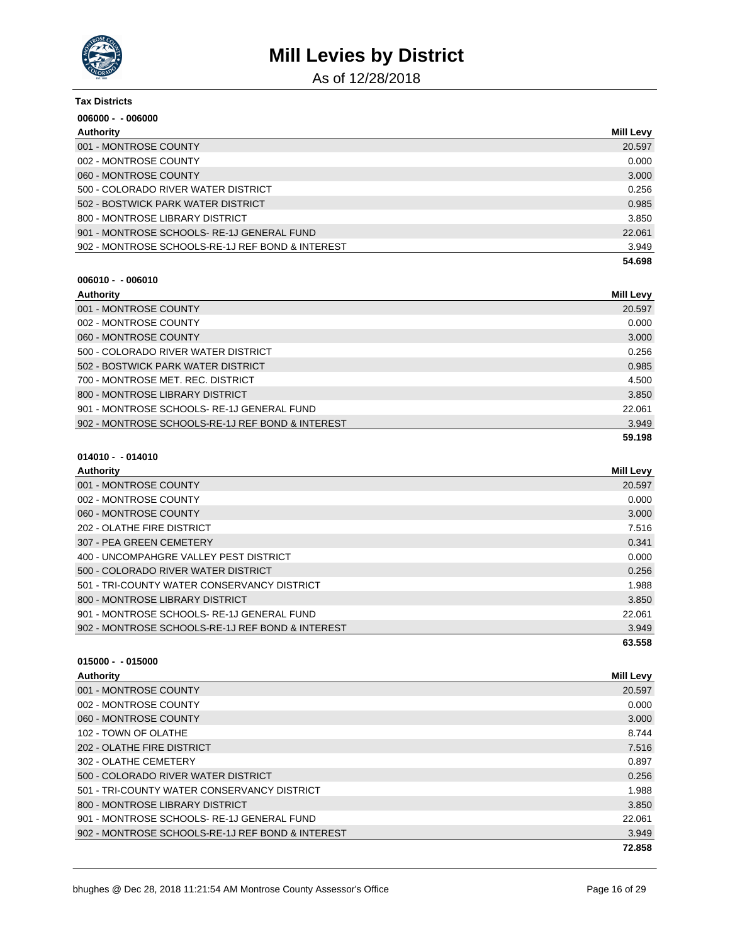

As of 12/28/2018

| <b>Tax Districts</b>                             |                  |
|--------------------------------------------------|------------------|
| $006000 - 006000$                                |                  |
| Authority                                        | <b>Mill Levy</b> |
| 001 - MONTROSE COUNTY                            | 20.597           |
| 002 - MONTROSE COUNTY                            | 0.000            |
| 060 - MONTROSE COUNTY                            | 3.000            |
| 500 - COLORADO RIVER WATER DISTRICT              | 0.256            |
| 502 - BOSTWICK PARK WATER DISTRICT               | 0.985            |
| 800 - MONTROSE LIBRARY DISTRICT                  | 3.850            |
| 901 - MONTROSE SCHOOLS-RE-1J GENERAL FUND        | 22.061           |
| 902 - MONTROSE SCHOOLS-RE-1J REF BOND & INTEREST | 3.949            |
|                                                  | 54.698           |

#### **006010 - - 006010**

| Authority                                        | <b>Mill Levy</b> |
|--------------------------------------------------|------------------|
| 001 - MONTROSE COUNTY                            | 20.597           |
| 002 - MONTROSE COUNTY                            | 0.000            |
| 060 - MONTROSE COUNTY                            | 3.000            |
| 500 - COLORADO RIVER WATER DISTRICT              | 0.256            |
| 502 - BOSTWICK PARK WATER DISTRICT               | 0.985            |
| 700 - MONTROSE MET. REC. DISTRICT                | 4.500            |
| 800 - MONTROSE LIBRARY DISTRICT                  | 3.850            |
| 901 - MONTROSE SCHOOLS-RE-1J GENERAL FUND        | 22.061           |
| 902 - MONTROSE SCHOOLS-RE-1J REF BOND & INTEREST | 3.949            |
|                                                  | 59.198           |

### **014010 - - 014010**

| Authority                                        | <b>Mill Levy</b> |
|--------------------------------------------------|------------------|
| 001 - MONTROSE COUNTY                            | 20.597           |
| 002 - MONTROSE COUNTY                            | 0.000            |
| 060 - MONTROSE COUNTY                            | 3.000            |
| 202 - OLATHE FIRE DISTRICT                       | 7.516            |
| 307 - PEA GREEN CEMETERY                         | 0.341            |
| 400 - UNCOMPAHGRE VALLEY PEST DISTRICT           | 0.000            |
| 500 - COLORADO RIVER WATER DISTRICT              | 0.256            |
| 501 - TRI-COUNTY WATER CONSERVANCY DISTRICT      | 1.988            |
| 800 - MONTROSE LIBRARY DISTRICT                  | 3.850            |
| 901 - MONTROSE SCHOOLS-RE-1J GENERAL FUND        | 22.061           |
| 902 - MONTROSE SCHOOLS-RE-1J REF BOND & INTEREST | 3.949            |
|                                                  | 63.558           |

| Authority                                        | <b>Mill Levy</b> |
|--------------------------------------------------|------------------|
| 001 - MONTROSE COUNTY                            | 20.597           |
| 002 - MONTROSE COUNTY                            | 0.000            |
| 060 - MONTROSE COUNTY                            | 3.000            |
| 102 - TOWN OF OLATHE                             | 8.744            |
| 202 - OLATHE FIRE DISTRICT                       | 7.516            |
| 302 - OLATHE CEMETERY                            | 0.897            |
| 500 - COLORADO RIVER WATER DISTRICT              | 0.256            |
| 501 - TRI-COUNTY WATER CONSERVANCY DISTRICT      | 1.988            |
| 800 - MONTROSE LIBRARY DISTRICT                  | 3.850            |
| 901 - MONTROSE SCHOOLS-RE-1J GENERAL FUND        | 22.061           |
| 902 - MONTROSE SCHOOLS-RE-1J REF BOND & INTEREST | 3.949            |
|                                                  | 72.858           |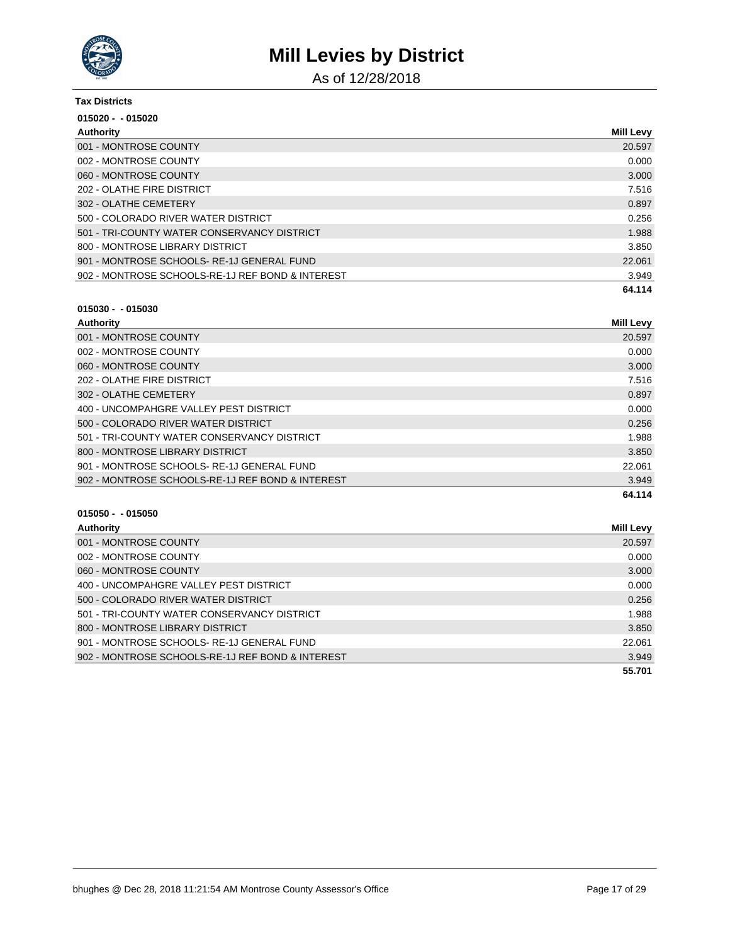

As of 12/28/2018

| <b>Tax Districts</b>                             |                  |
|--------------------------------------------------|------------------|
| $015020 - 015020$                                |                  |
| Authority                                        | <b>Mill Levy</b> |
| 001 - MONTROSE COUNTY                            | 20.597           |
| 002 - MONTROSE COUNTY                            | 0.000            |
| 060 - MONTROSE COUNTY                            | 3.000            |
| 202 - OLATHE FIRE DISTRICT                       | 7.516            |
| 302 - OLATHE CEMETERY                            | 0.897            |
| 500 - COLORADO RIVER WATER DISTRICT              | 0.256            |
| 501 - TRI-COUNTY WATER CONSERVANCY DISTRICT      | 1.988            |
| 800 - MONTROSE LIBRARY DISTRICT                  | 3.850            |
| 901 - MONTROSE SCHOOLS-RE-1J GENERAL FUND        | 22,061           |
| 902 - MONTROSE SCHOOLS-RE-1J REF BOND & INTEREST | 3.949            |
|                                                  | 64.114           |

### **015030 - - 015030**

| Authority                                        | <b>Mill Levy</b> |
|--------------------------------------------------|------------------|
| 001 - MONTROSE COUNTY                            | 20.597           |
| 002 - MONTROSE COUNTY                            | 0.000            |
| 060 - MONTROSE COUNTY                            | 3.000            |
| 202 - OLATHE FIRE DISTRICT                       | 7.516            |
| 302 - OLATHE CEMETERY                            | 0.897            |
| 400 - UNCOMPAHGRE VALLEY PEST DISTRICT           | 0.000            |
| 500 - COLORADO RIVER WATER DISTRICT              | 0.256            |
| 501 - TRI-COUNTY WATER CONSERVANCY DISTRICT      | 1.988            |
| 800 - MONTROSE LIBRARY DISTRICT                  | 3.850            |
| 901 - MONTROSE SCHOOLS-RE-1J GENERAL FUND        | 22.061           |
| 902 - MONTROSE SCHOOLS-RE-1J REF BOND & INTEREST | 3.949            |
|                                                  | 64.114           |

| Authority                                        | Mill Levy |
|--------------------------------------------------|-----------|
| 001 - MONTROSE COUNTY                            | 20.597    |
| 002 - MONTROSE COUNTY                            | 0.000     |
| 060 - MONTROSE COUNTY                            | 3.000     |
| 400 - UNCOMPAHGRE VALLEY PEST DISTRICT           | 0.000     |
| 500 - COLORADO RIVER WATER DISTRICT              | 0.256     |
| 501 - TRI-COUNTY WATER CONSERVANCY DISTRICT      | 1.988     |
| 800 - MONTROSE LIBRARY DISTRICT                  | 3.850     |
| 901 - MONTROSE SCHOOLS-RE-1J GENERAL FUND        | 22.061    |
| 902 - MONTROSE SCHOOLS-RE-1J REF BOND & INTEREST | 3.949     |
|                                                  | 55.701    |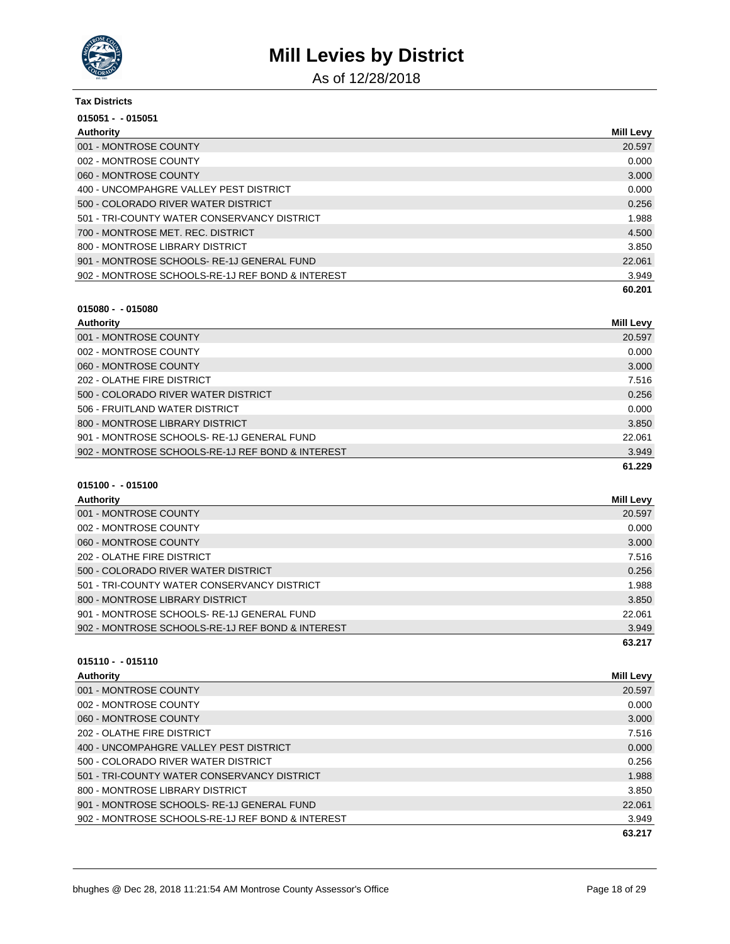

As of 12/28/2018

| <b>Tax Districts</b>                             |           |
|--------------------------------------------------|-----------|
| $015051 - 015051$                                |           |
| Authority                                        | Mill Levy |
| 001 - MONTROSE COUNTY                            | 20.597    |
| 002 - MONTROSE COUNTY                            | 0.000     |
| 060 - MONTROSE COUNTY                            | 3.000     |
| 400 - UNCOMPAHGRE VALLEY PEST DISTRICT           | 0.000     |
| 500 - COLORADO RIVER WATER DISTRICT              | 0.256     |
| 501 - TRI-COUNTY WATER CONSERVANCY DISTRICT      | 1.988     |
| 700 - MONTROSE MET. REC. DISTRICT                | 4.500     |
| 800 - MONTROSE LIBRARY DISTRICT                  | 3.850     |
| 901 - MONTROSE SCHOOLS-RE-1J GENERAL FUND        | 22.061    |
| 902 - MONTROSE SCHOOLS-RE-1J REF BOND & INTEREST | 3.949     |
|                                                  | 60.201    |

#### **015080 - - 015080**

| Authority                                        | Mill Levy |
|--------------------------------------------------|-----------|
| 001 - MONTROSE COUNTY                            | 20.597    |
| 002 - MONTROSE COUNTY                            | 0.000     |
| 060 - MONTROSE COUNTY                            | 3.000     |
| 202 - OLATHE FIRE DISTRICT                       | 7.516     |
| 500 - COLORADO RIVER WATER DISTRICT              | 0.256     |
| 506 - FRUITLAND WATER DISTRICT                   | 0.000     |
| 800 - MONTROSE LIBRARY DISTRICT                  | 3.850     |
| 901 - MONTROSE SCHOOLS-RE-1J GENERAL FUND        | 22.061    |
| 902 - MONTROSE SCHOOLS-RE-1J REF BOND & INTEREST | 3.949     |
|                                                  | 61.229    |

### **015100 - - 015100**

| Authority                                        | <b>Mill Levy</b> |
|--------------------------------------------------|------------------|
| 001 - MONTROSE COUNTY                            | 20.597           |
| 002 - MONTROSE COUNTY                            | 0.000            |
| 060 - MONTROSE COUNTY                            | 3.000            |
| 202 - OLATHE FIRE DISTRICT                       | 7.516            |
| 500 - COLORADO RIVER WATER DISTRICT              | 0.256            |
| 501 - TRI-COUNTY WATER CONSERVANCY DISTRICT      | 1.988            |
| 800 - MONTROSE LIBRARY DISTRICT                  | 3.850            |
| 901 - MONTROSE SCHOOLS-RE-1J GENERAL FUND        | 22.061           |
| 902 - MONTROSE SCHOOLS-RE-1J REF BOND & INTEREST | 3.949            |
|                                                  | 63.217           |

| <b>Authority</b>                                 | <b>Mill Levy</b> |
|--------------------------------------------------|------------------|
| 001 - MONTROSE COUNTY                            | 20.597           |
| 002 - MONTROSE COUNTY                            | 0.000            |
| 060 - MONTROSE COUNTY                            | 3.000            |
| 202 - OLATHE FIRE DISTRICT                       | 7.516            |
| 400 - UNCOMPAHGRE VALLEY PEST DISTRICT           | 0.000            |
| 500 - COLORADO RIVER WATER DISTRICT              | 0.256            |
| 501 - TRI-COUNTY WATER CONSERVANCY DISTRICT      | 1.988            |
| 800 - MONTROSE LIBRARY DISTRICT                  | 3.850            |
| 901 - MONTROSE SCHOOLS-RE-1J GENERAL FUND        | 22.061           |
| 902 - MONTROSE SCHOOLS-RE-1J REF BOND & INTEREST | 3.949            |
|                                                  | 63.217           |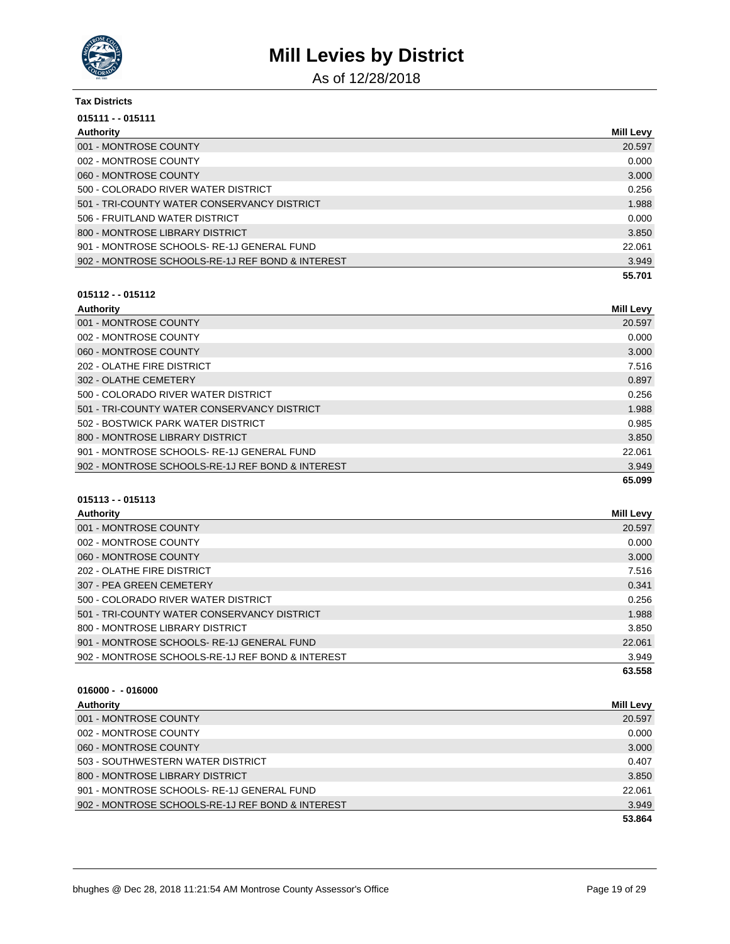

As of 12/28/2018

| <b>Tax Districts</b>                             |                  |
|--------------------------------------------------|------------------|
| 015111 - - 015111                                |                  |
| Authority                                        | <b>Mill Levy</b> |
| 001 - MONTROSE COUNTY                            | 20.597           |
| 002 - MONTROSE COUNTY                            | 0.000            |
| 060 - MONTROSE COUNTY                            | 3.000            |
| 500 - COLORADO RIVER WATER DISTRICT              | 0.256            |
| 501 - TRI-COUNTY WATER CONSERVANCY DISTRICT      | 1.988            |
| 506 - FRUITLAND WATER DISTRICT                   | 0.000            |
| 800 - MONTROSE LIBRARY DISTRICT                  | 3.850            |
| 901 - MONTROSE SCHOOLS-RE-1J GENERAL FUND        | 22.061           |
| 902 - MONTROSE SCHOOLS-RE-1J REF BOND & INTEREST | 3.949            |
|                                                  | 55.701           |

### **015112 - - 015112**

| Authority                                        | <b>Mill Levy</b> |
|--------------------------------------------------|------------------|
| 001 - MONTROSE COUNTY                            | 20.597           |
| 002 - MONTROSE COUNTY                            | 0.000            |
| 060 - MONTROSE COUNTY                            | 3.000            |
| 202 - OLATHE FIRE DISTRICT                       | 7.516            |
| 302 - OLATHE CEMETERY                            | 0.897            |
| 500 - COLORADO RIVER WATER DISTRICT              | 0.256            |
| 501 - TRI-COUNTY WATER CONSERVANCY DISTRICT      | 1.988            |
| 502 - BOSTWICK PARK WATER DISTRICT               | 0.985            |
| 800 - MONTROSE LIBRARY DISTRICT                  | 3.850            |
| 901 - MONTROSE SCHOOLS-RE-1J GENERAL FUND        | 22.061           |
| 902 - MONTROSE SCHOOLS-RE-1J REF BOND & INTEREST | 3.949            |
|                                                  | 65.099           |

### **015113 - - 015113**

| Authority                                        | Mill Levy |
|--------------------------------------------------|-----------|
| 001 - MONTROSE COUNTY                            | 20.597    |
| 002 - MONTROSE COUNTY                            | 0.000     |
| 060 - MONTROSE COUNTY                            | 3.000     |
| 202 - OLATHE FIRE DISTRICT                       | 7.516     |
| 307 - PEA GREEN CEMETERY                         | 0.341     |
| 500 - COLORADO RIVER WATER DISTRICT              | 0.256     |
| 501 - TRI-COUNTY WATER CONSERVANCY DISTRICT      | 1.988     |
| 800 - MONTROSE LIBRARY DISTRICT                  | 3.850     |
| 901 - MONTROSE SCHOOLS-RE-1J GENERAL FUND        | 22.061    |
| 902 - MONTROSE SCHOOLS-RE-1J REF BOND & INTEREST | 3.949     |
|                                                  | 63.558    |

| Authority                                        | <b>Mill Levy</b> |
|--------------------------------------------------|------------------|
| 001 - MONTROSE COUNTY                            | 20.597           |
| 002 - MONTROSE COUNTY                            | 0.000            |
| 060 - MONTROSE COUNTY                            | 3.000            |
| 503 - SOUTHWESTERN WATER DISTRICT                | 0.407            |
| 800 - MONTROSE LIBRARY DISTRICT                  | 3.850            |
| 901 - MONTROSE SCHOOLS-RE-1J GENERAL FUND        | 22.061           |
| 902 - MONTROSE SCHOOLS-RE-1J REF BOND & INTEREST | 3.949            |
|                                                  | 53.864           |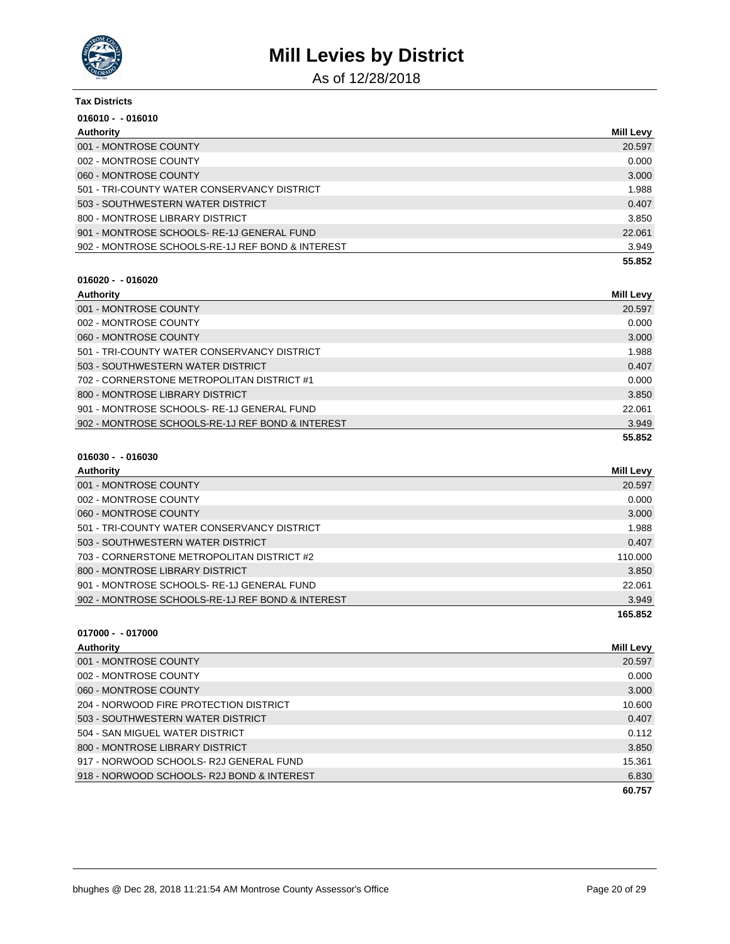

As of 12/28/2018

| Tax Districts                                    |                  |
|--------------------------------------------------|------------------|
| $016010 - 016010$                                |                  |
| Authority                                        | <b>Mill Levy</b> |
| 001 - MONTROSE COUNTY                            | 20.597           |
| 002 - MONTROSE COUNTY                            | 0.000            |
| 060 - MONTROSE COUNTY                            | 3.000            |
| 501 - TRI-COUNTY WATER CONSERVANCY DISTRICT      | 1.988            |
| 503 - SOUTHWESTERN WATER DISTRICT                | 0.407            |
| 800 - MONTROSE LIBRARY DISTRICT                  | 3.850            |
| 901 - MONTROSE SCHOOLS-RE-1J GENERAL FUND        | 22,061           |
| 902 - MONTROSE SCHOOLS-RE-1J REF BOND & INTEREST | 3.949            |
|                                                  | 55.852           |

#### **016020 - - 016020**

| Authority                                        | <b>Mill Levy</b> |
|--------------------------------------------------|------------------|
| 001 - MONTROSE COUNTY                            | 20.597           |
| 002 - MONTROSE COUNTY                            | 0.000            |
| 060 - MONTROSE COUNTY                            | 3.000            |
| 501 - TRI-COUNTY WATER CONSERVANCY DISTRICT      | 1.988            |
| 503 - SOUTHWESTERN WATER DISTRICT                | 0.407            |
| 702 - CORNERSTONE METROPOLITAN DISTRICT #1       | 0.000            |
| 800 - MONTROSE LIBRARY DISTRICT                  | 3.850            |
| 901 - MONTROSE SCHOOLS-RE-1J GENERAL FUND        | 22.061           |
| 902 - MONTROSE SCHOOLS-RE-1J REF BOND & INTEREST | 3.949            |
|                                                  | 55.852           |

### **016030 - - 016030**

| Authority                                        | Mill Levy |
|--------------------------------------------------|-----------|
| 001 - MONTROSE COUNTY                            | 20.597    |
| 002 - MONTROSE COUNTY                            | 0.000     |
| 060 - MONTROSE COUNTY                            | 3.000     |
| 501 - TRI-COUNTY WATER CONSERVANCY DISTRICT      | 1.988     |
| 503 - SOUTHWESTERN WATER DISTRICT                | 0.407     |
| 703 - CORNERSTONE METROPOLITAN DISTRICT #2       | 110.000   |
| 800 - MONTROSE LIBRARY DISTRICT                  | 3.850     |
| 901 - MONTROSE SCHOOLS-RE-1J GENERAL FUND        | 22.061    |
| 902 - MONTROSE SCHOOLS-RE-1J REF BOND & INTEREST | 3.949     |
|                                                  | 165.852   |

| Authority                                 | <b>Mill Levy</b> |
|-------------------------------------------|------------------|
| 001 - MONTROSE COUNTY                     | 20.597           |
| 002 - MONTROSE COUNTY                     | 0.000            |
| 060 - MONTROSE COUNTY                     | 3.000            |
| 204 - NORWOOD FIRE PROTECTION DISTRICT    | 10.600           |
| 503 - SOUTHWESTERN WATER DISTRICT         | 0.407            |
| 504 - SAN MIGUEL WATER DISTRICT           | 0.112            |
| 800 - MONTROSE LIBRARY DISTRICT           | 3.850            |
| 917 - NORWOOD SCHOOLS-R2J GENERAL FUND    | 15.361           |
| 918 - NORWOOD SCHOOLS-R2J BOND & INTEREST | 6.830            |
|                                           | 60.757           |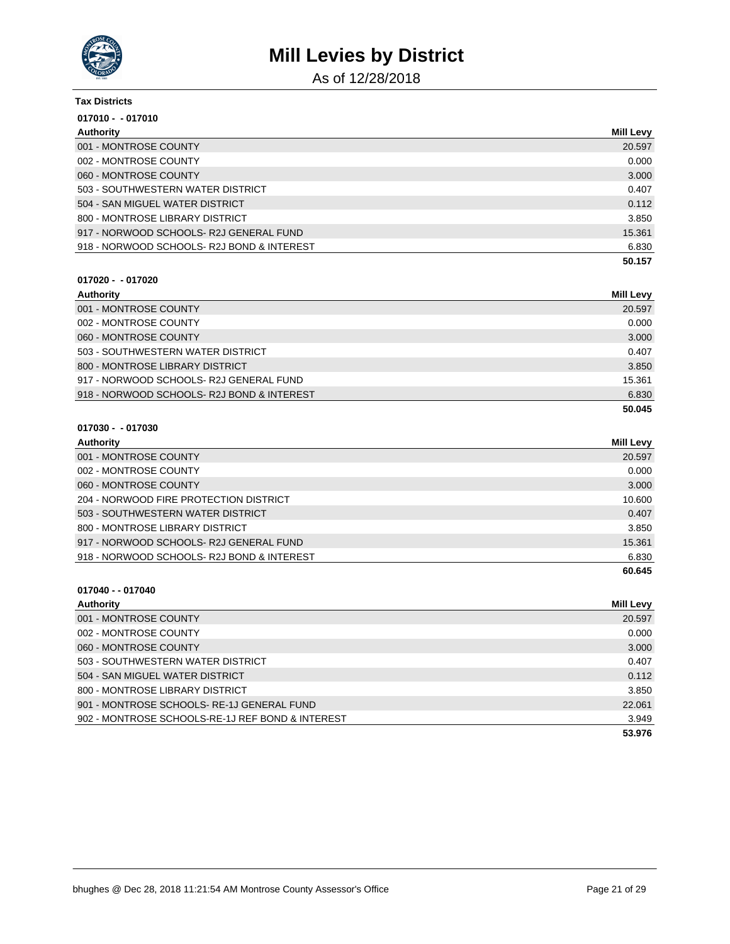

As of 12/28/2018

### **Tax Districts 017010 - - 017010 Authority Mill Levy** 001 - MONTROSE COUNTY 20.597 002 - MONTROSE COUNTY CONTROL COUNTY CONTROL CONTROL CONTROL CONTROL CONTROL CONTROL CONTROL CONTROL CONTROL CONTROL CONTROL CONTROL CONTROL CONTROL CONTROL CONTROL CONTROL CONTROL CONTROL CONTROL CONTROL CONTROL CONTROL C 060 - MONTROSE COUNTY 3.000 503 - SOUTHWESTERN WATER DISTRICT 0.407 504 - SAN MIGUEL WATER DISTRICT 0.112

|                                            | 50.157 |
|--------------------------------------------|--------|
| 918 - NORWOOD SCHOOLS- R2J BOND & INTEREST | 6.830  |
| 917 - NORWOOD SCHOOLS- R2J GENERAL FUND-   | 15.361 |
| 800 - MONTROSE LIBRARY DISTRICT            | 3.850  |

#### **017020 - - 017020**

| Authority                                  | <b>Mill Levy</b> |
|--------------------------------------------|------------------|
| 001 - MONTROSE COUNTY                      | 20.597           |
| 002 - MONTROSE COUNTY                      | 0.000            |
| 060 - MONTROSE COUNTY                      | 3.000            |
| 503 - SOUTHWESTERN WATER DISTRICT          | 0.407            |
| 800 - MONTROSE LIBRARY DISTRICT            | 3.850            |
| 917 - NORWOOD SCHOOLS- R2J GENERAL FUND    | 15.361           |
| 918 - NORWOOD SCHOOLS- R2J BOND & INTEREST | 6.830            |
|                                            | 50.045           |

#### **017030 - - 017030**

| Authority                                 | <b>Mill Levy</b> |
|-------------------------------------------|------------------|
| 001 - MONTROSE COUNTY                     | 20.597           |
| 002 - MONTROSE COUNTY                     | 0.000            |
| 060 - MONTROSE COUNTY                     | 3.000            |
| 204 - NORWOOD FIRE PROTECTION DISTRICT    | 10.600           |
| 503 - SOUTHWESTERN WATER DISTRICT         | 0.407            |
| 800 - MONTROSE LIBRARY DISTRICT           | 3.850            |
| 917 - NORWOOD SCHOOLS-R2J GENERAL FUND    | 15.361           |
| 918 - NORWOOD SCHOOLS-R2J BOND & INTEREST | 6.830            |
|                                           | 60.645           |

### **017040 - - 017040 Authority Mill Levy** 001 - MONTROSE COUNTY 20.597 002 - MONTROSE COUNTY CONTROL COUNTY CONTROL CONTROL CONTROL CONTROL CONTROL CONTROL CONTROL CONTROL CONTROL CONTROL CONTROL CONTROL CONTROL CONTROL CONTROL CONTROL CONTROL CONTROL CONTROL CONTROL CONTROL CONTROL CONTROL C 060 - MONTROSE COUNTY 3.000 NORTH AND THE SERVICE OF THE SERVICE OF THE SERVICE OF THE SERVICE OF THE SERVICE O 503 - SOUTHWESTERN WATER DISTRICT 0.407 504 - SAN MIGUEL WATER DISTRICT 0.112 800 - MONTROSE LIBRARY DISTRICT NEWSLEY AND THE SERVICE OF SALES AND STRICT AND STRICT AND STRICT AND STRICT AND STRICT AND STRICT AND STRICT AND STRICT AND STRICT AND STRICT AND STRICT AND STRICT AND STRICT AND STRICT AND 901 - MONTROSE SCHOOLS- RE-1J GENERAL FUND 22.061 902 - MONTROSE SCHOOLS-RE-1J REF BOND & INTEREST 3.949 **53.976**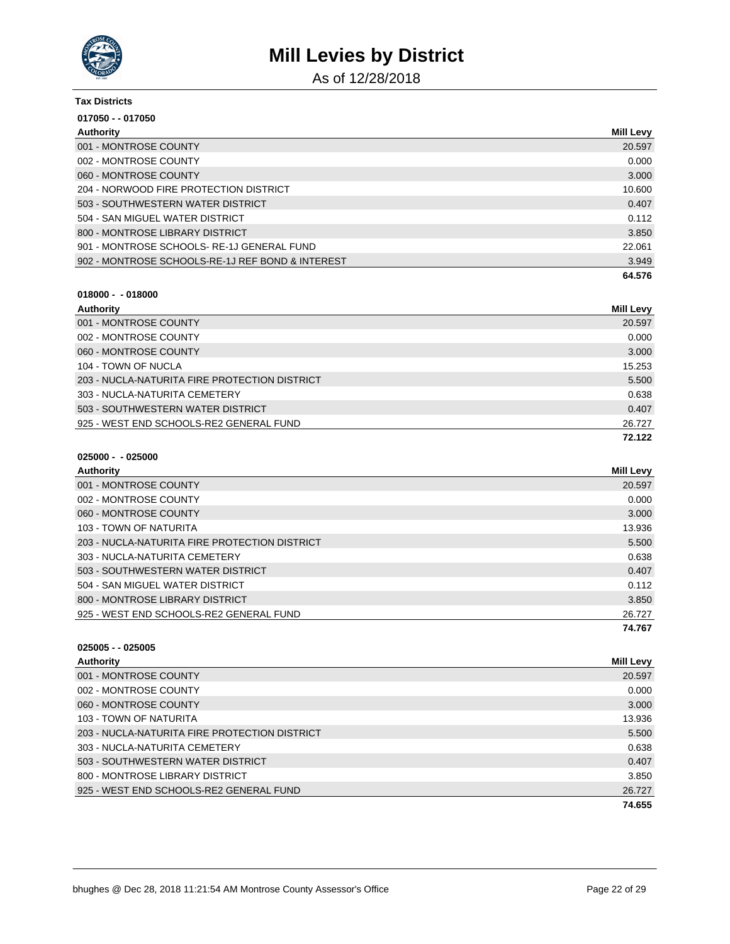

As of 12/28/2018

| <b>Tax Districts</b>                             |                  |
|--------------------------------------------------|------------------|
| 017050 - - 017050                                |                  |
| Authority                                        | <b>Mill Levy</b> |
| 001 - MONTROSE COUNTY                            | 20.597           |
| 002 - MONTROSE COUNTY                            | 0.000            |
| 060 - MONTROSE COUNTY                            | 3.000            |
| 204 - NORWOOD FIRE PROTECTION DISTRICT           | 10.600           |
| 503 - SOUTHWESTERN WATER DISTRICT                | 0.407            |
| 504 - SAN MIGUEL WATER DISTRICT                  | 0.112            |
| 800 - MONTROSE LIBRARY DISTRICT                  | 3.850            |
| 901 - MONTROSE SCHOOLS-RE-1J GENERAL FUND        | 22.061           |
| 902 - MONTROSE SCHOOLS-RE-1J REF BOND & INTEREST | 3.949            |
|                                                  | 64.576           |
| $018000 - 018000$                                |                  |
| <b>Authority</b>                                 | <b>Mill Levy</b> |

| Authority                                     | Mill Levy |
|-----------------------------------------------|-----------|
| 001 - MONTROSE COUNTY                         | 20.597    |
| 002 - MONTROSE COUNTY                         | 0.000     |
| 060 - MONTROSE COUNTY                         | 3.000     |
| 104 - TOWN OF NUCLA                           | 15.253    |
| 203 - NUCLA-NATURITA FIRE PROTECTION DISTRICT | 5.500     |
| 303 - NUCLA-NATURITA CEMETERY                 | 0.638     |
| 503 - SOUTHWESTERN WATER DISTRICT             | 0.407     |
| 925 - WEST END SCHOOLS-RE2 GENERAL FUND       | 26.727    |
|                                               | 72.122    |

| $025000 -$ | - 025000 |
|------------|----------|
|------------|----------|

| Authority                                     | Mill Levy |
|-----------------------------------------------|-----------|
| 001 - MONTROSE COUNTY                         | 20.597    |
| 002 - MONTROSE COUNTY                         | 0.000     |
| 060 - MONTROSE COUNTY                         | 3.000     |
| 103 - TOWN OF NATURITA                        | 13.936    |
| 203 - NUCLA-NATURITA FIRE PROTECTION DISTRICT | 5.500     |
| 303 - NUCLA-NATURITA CEMETERY                 | 0.638     |
| 503 - SOUTHWESTERN WATER DISTRICT             | 0.407     |
| 504 - SAN MIGUEL WATER DISTRICT               | 0.112     |
| 800 - MONTROSE LIBRARY DISTRICT               | 3.850     |
| 925 - WEST END SCHOOLS-RE2 GENERAL FUND       | 26.727    |
|                                               | 74.767    |

| $025005 - 025005$                             |                  |
|-----------------------------------------------|------------------|
| Authority                                     | <b>Mill Levy</b> |
| 001 - MONTROSE COUNTY                         | 20.597           |
| 002 - MONTROSE COUNTY                         | 0.000            |
| 060 - MONTROSE COUNTY                         | 3.000            |
| 103 - TOWN OF NATURITA                        | 13.936           |
| 203 - NUCLA-NATURITA FIRE PROTECTION DISTRICT | 5.500            |
| 303 - NUCLA-NATURITA CEMETERY                 | 0.638            |
| 503 - SOUTHWESTERN WATER DISTRICT             | 0.407            |
| 800 - MONTROSE LIBRARY DISTRICT               | 3.850            |
| 925 - WEST END SCHOOLS-RE2 GENERAL FUND       | 26.727           |
|                                               | 74.655           |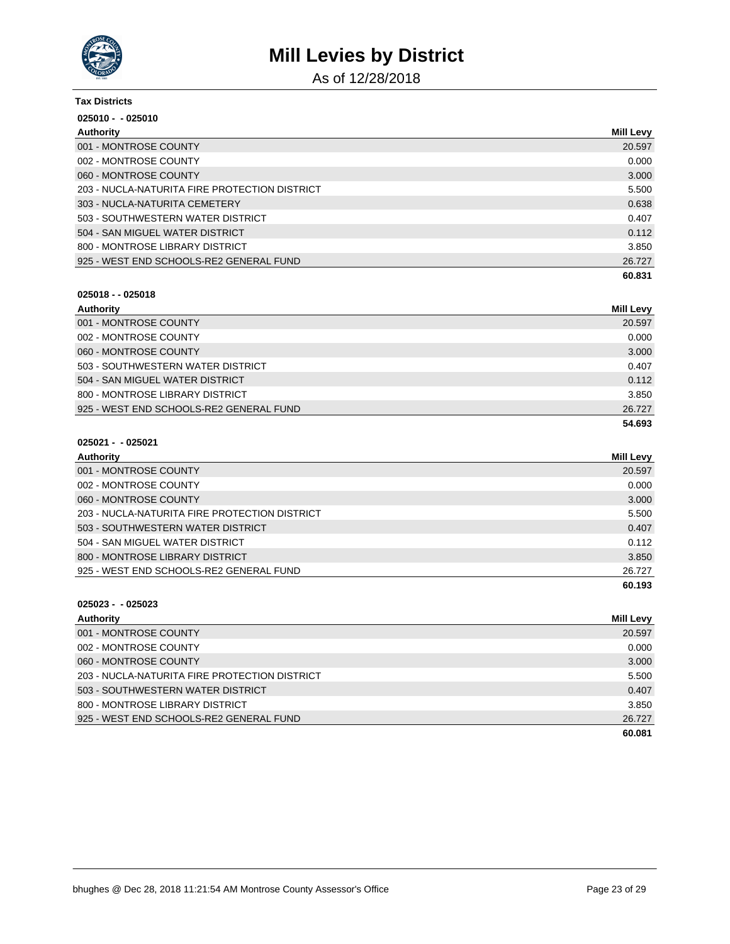

As of 12/28/2018

| <b>Tax Districts</b>                          |                  |
|-----------------------------------------------|------------------|
| $025010 - 025010$                             |                  |
| Authority                                     | <b>Mill Levy</b> |
| 001 - MONTROSE COUNTY                         | 20.597           |
| 002 - MONTROSE COUNTY                         | 0.000            |
| 060 - MONTROSE COUNTY                         | 3.000            |
| 203 - NUCLA-NATURITA FIRE PROTECTION DISTRICT | 5.500            |
| 303 - NUCLA-NATURITA CEMETERY                 | 0.638            |
| 503 - SOUTHWESTERN WATER DISTRICT             | 0.407            |
| 504 - SAN MIGUEL WATER DISTRICT               | 0.112            |
| 800 - MONTROSE LIBRARY DISTRICT               | 3.850            |
| 925 - WEST END SCHOOLS-RE2 GENERAL FUND       | 26.727           |
|                                               | 60.831           |

#### **025018 - - 025018**

| Authority                               | <b>Mill Levy</b> |
|-----------------------------------------|------------------|
| 001 - MONTROSE COUNTY                   | 20.597           |
| 002 - MONTROSE COUNTY                   | 0.000            |
| 060 - MONTROSE COUNTY                   | 3.000            |
| 503 - SOUTHWESTERN WATER DISTRICT       | 0.407            |
| 504 - SAN MIGUEL WATER DISTRICT         | 0.112            |
| 800 - MONTROSE LIBRARY DISTRICT         | 3.850            |
| 925 - WEST END SCHOOLS-RE2 GENERAL FUND | 26.727           |
|                                         | 54.693           |

### **025021 - - 025021**

| <b>Authority</b>                              | Mill Levy |
|-----------------------------------------------|-----------|
| 001 - MONTROSE COUNTY                         | 20.597    |
| 002 - MONTROSE COUNTY                         | 0.000     |
| 060 - MONTROSE COUNTY                         | 3.000     |
| 203 - NUCLA-NATURITA FIRE PROTECTION DISTRICT | 5.500     |
| 503 - SOUTHWESTERN WATER DISTRICT             | 0.407     |
| 504 - SAN MIGUEL WATER DISTRICT               | 0.112     |
| 800 - MONTROSE LIBRARY DISTRICT               | 3.850     |
| 925 - WEST END SCHOOLS-RE2 GENERAL FUND       | 26.727    |
|                                               | 60.193    |

| Authority                                     | <b>Mill Levy</b> |
|-----------------------------------------------|------------------|
| 001 - MONTROSE COUNTY                         | 20.597           |
| 002 - MONTROSE COUNTY                         | 0.000            |
| 060 - MONTROSE COUNTY                         | 3.000            |
| 203 - NUCLA-NATURITA FIRE PROTECTION DISTRICT | 5.500            |
| 503 - SOUTHWESTERN WATER DISTRICT             | 0.407            |
| 800 - MONTROSE LIBRARY DISTRICT               | 3.850            |
| 925 - WEST END SCHOOLS-RE2 GENERAL FUND       | 26.727           |
|                                               | 60.081           |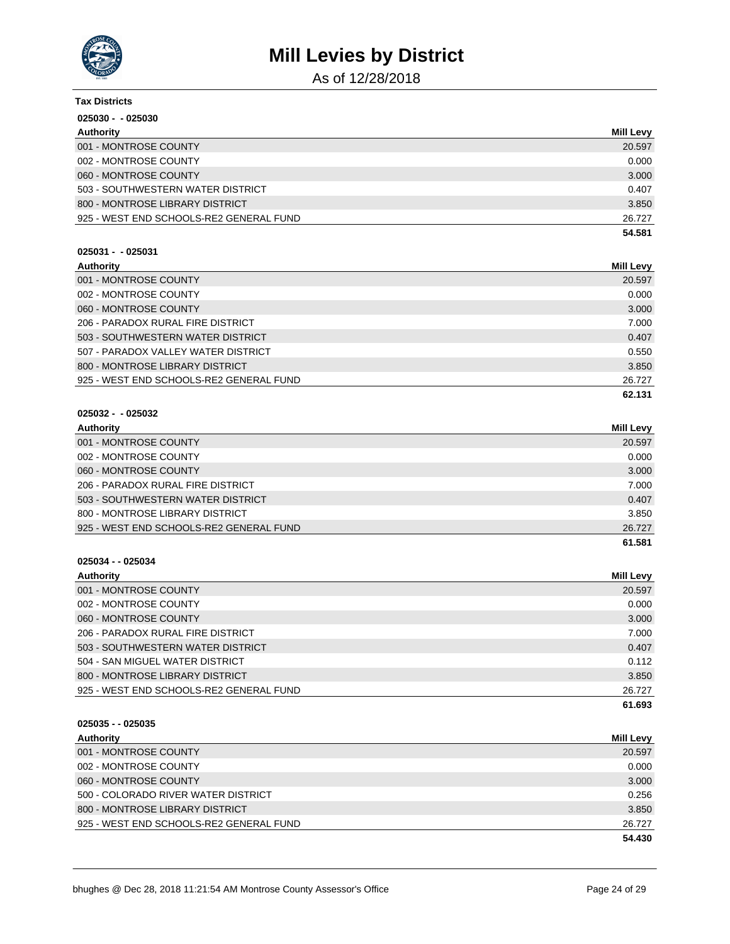

As of 12/28/2018

| <b>Tax Districts</b>                    |                  |
|-----------------------------------------|------------------|
| $025030 - 025030$                       |                  |
| <b>Authority</b>                        | <b>Mill Levy</b> |
| 001 - MONTROSE COUNTY                   | 20.597           |
| 002 - MONTROSE COUNTY                   | 0.000            |
| 060 - MONTROSE COUNTY                   | 3.000            |
| 503 - SOUTHWESTERN WATER DISTRICT       | 0.407            |
| 800 - MONTROSE LIBRARY DISTRICT         | 3.850            |
| 925 - WEST END SCHOOLS-RE2 GENERAL FUND | 26.727           |
|                                         | 54.581           |
| $025031 - 025031$                       |                  |
| <b>Authority</b>                        | <b>Mill Levy</b> |
| 001 - MONTROSE COUNTY                   | 20.597           |
| 002 - MONTROSE COUNTY                   | 0.000            |
| 060 - MONTROSE COUNTY                   | 3.000            |
| 206 - PARADOX RURAL FIRE DISTRICT       | 7.000            |
| 503 - SOUTHWESTERN WATER DISTRICT       | 0.407            |
| 507 - PARADOX VALLEY WATER DISTRICT     | 0.550            |
| 800 - MONTROSE LIBRARY DISTRICT         | 3.850            |
| 925 - WEST END SCHOOLS-RE2 GENERAL FUND | 26.727           |
|                                         | 62.131           |
| $025032 - 025032$                       |                  |
| Authority                               | <b>Mill Levy</b> |
| 001 - MONTROSE COUNTY                   | 20.597           |
| 002 - MONTROSE COUNTY                   | 0.000            |
| 060 - MONTROSE COUNTY                   | 3.000            |
| 206 - PARADOX RURAL FIRE DISTRICT       | 7.000            |
| 503 - SOUTHWESTERN WATER DISTRICT       | 0.407            |
| 800 - MONTROSE LIBRARY DISTRICT         | 3.850            |
| 925 - WEST END SCHOOLS-RE2 GENERAL FUND | 26.727           |
|                                         | 61.581           |
| 025034 - - 025034                       |                  |
| <b>Authority</b>                        | Mill Levy        |
| 001 - MONTROSE COUNTY                   | 20.597           |
| 002 - MONTROSE COUNTY                   | 0.000            |
| 060 - MONTROSE COUNTY                   | 3.000            |

|                                                                                                                                                                                                                                                                                                                                                                                                                                                            | 61.693 |
|------------------------------------------------------------------------------------------------------------------------------------------------------------------------------------------------------------------------------------------------------------------------------------------------------------------------------------------------------------------------------------------------------------------------------------------------------------|--------|
| 925 - WEST END SCHOOLS-RE2 GENERAL FUND                                                                                                                                                                                                                                                                                                                                                                                                                    | 26.727 |
| 800 - MONTROSE LIBRARY DISTRICT                                                                                                                                                                                                                                                                                                                                                                                                                            | 3.850  |
| 504 - SAN MIGUEL WATER DISTRICT                                                                                                                                                                                                                                                                                                                                                                                                                            | 0.112  |
| 503 - SOUTHWESTERN WATER DISTRICT                                                                                                                                                                                                                                                                                                                                                                                                                          | 0.407  |
| 206 - PARADOX RURAL FIRE DISTRICT                                                                                                                                                                                                                                                                                                                                                                                                                          | 7.000  |
| $\begin{array}{c} \n\text{C} \\ \text{C} \\ \text{C} \\ \text{C} \\ \text{C} \\ \text{C} \\ \text{C} \\ \text{C} \\ \text{C} \\ \text{C} \\ \text{C} \\ \text{C} \\ \text{C} \\ \text{C} \\ \text{C} \\ \text{C} \\ \text{C} \\ \text{C} \\ \text{C} \\ \text{C} \\ \text{C} \\ \text{C} \\ \text{C} \\ \text{C} \\ \text{C} \\ \text{C} \\ \text{C} \\ \text{C} \\ \text{C} \\ \text{C} \\ \text{C} \\ \text{C} \\ \text{C} \\ \text{C} \\ \text{C} \\ \$ | v.vvv  |

**025035 - - 025035 Authority Mill Levy** 001 - MONTROSE COUNTY 20.597 002 - MONTROSE COUNTY 0.000 060 - MONTROSE COUNTY 3.000 500 - COLORADO RIVER WATER DISTRICT 0.256 800 - MONTROSE LIBRARY DISTRICT 3.850 925 - WEST END SCHOOLS-RE2 GENERAL FUND 26.727 **54.430**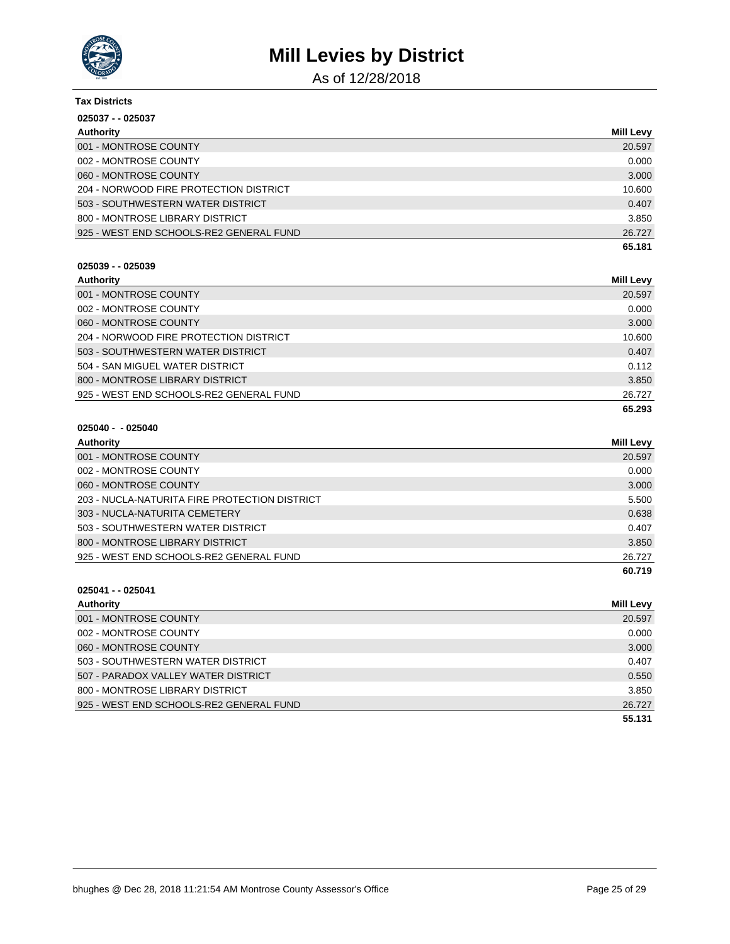

As of 12/28/2018

| <b>Tax Districts</b>                    |                  |
|-----------------------------------------|------------------|
| $025037 - 025037$                       |                  |
| Authority                               | <b>Mill Levy</b> |
| 001 - MONTROSE COUNTY                   | 20.597           |
| 002 - MONTROSE COUNTY                   | 0.000            |
| 060 - MONTROSE COUNTY                   | 3.000            |
| 204 - NORWOOD FIRE PROTECTION DISTRICT  | 10.600           |
| 503 - SOUTHWESTERN WATER DISTRICT       | 0.407            |
| 800 - MONTROSE LIBRARY DISTRICT         | 3.850            |
| 925 - WEST END SCHOOLS-RE2 GENERAL FUND | 26.727           |
|                                         | 65.181           |

### **025039 - - 025039**

| Authority                               | Mill Levy |
|-----------------------------------------|-----------|
| 001 - MONTROSE COUNTY                   | 20.597    |
| 002 - MONTROSE COUNTY                   | 0.000     |
| 060 - MONTROSE COUNTY                   | 3.000     |
| 204 - NORWOOD FIRE PROTECTION DISTRICT  | 10.600    |
| 503 - SOUTHWESTERN WATER DISTRICT       | 0.407     |
| 504 - SAN MIGUEL WATER DISTRICT         | 0.112     |
| 800 - MONTROSE LIBRARY DISTRICT         | 3.850     |
| 925 - WEST END SCHOOLS-RE2 GENERAL FUND | 26.727    |
|                                         | 65.293    |

### **025040 - - 025040**

| Authority                                     | Mill Levy |
|-----------------------------------------------|-----------|
| 001 - MONTROSE COUNTY                         | 20.597    |
| 002 - MONTROSE COUNTY                         | 0.000     |
| 060 - MONTROSE COUNTY                         | 3.000     |
| 203 - NUCLA-NATURITA FIRE PROTECTION DISTRICT | 5.500     |
| 303 - NUCLA-NATURITA CEMETERY                 | 0.638     |
| 503 - SOUTHWESTERN WATER DISTRICT             | 0.407     |
| 800 - MONTROSE LIBRARY DISTRICT               | 3.850     |
| 925 - WEST END SCHOOLS-RE2 GENERAL FUND       | 26.727    |
|                                               | 60.719    |

| Authority                               | <b>Mill Levy</b> |
|-----------------------------------------|------------------|
| 001 - MONTROSE COUNTY                   | 20.597           |
| 002 - MONTROSE COUNTY                   | 0.000            |
| 060 - MONTROSE COUNTY                   | 3.000            |
| 503 - SOUTHWESTERN WATER DISTRICT       | 0.407            |
| 507 - PARADOX VALLEY WATER DISTRICT     | 0.550            |
| 800 - MONTROSE LIBRARY DISTRICT         | 3.850            |
| 925 - WEST END SCHOOLS-RE2 GENERAL FUND | 26.727           |
|                                         | 55.131           |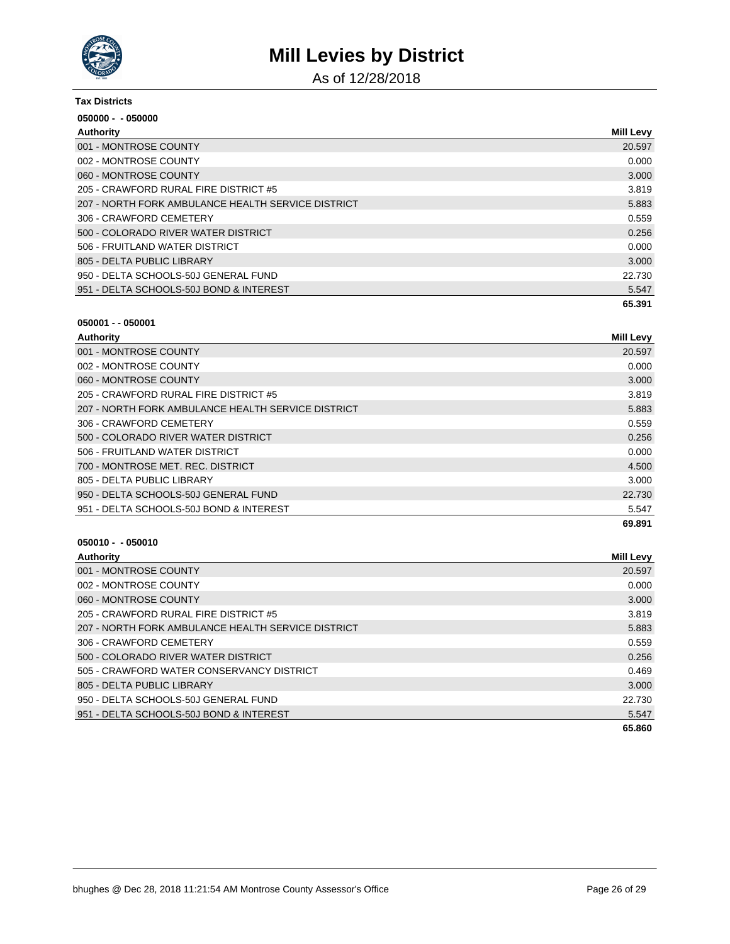

As of 12/28/2018

| <b>Tax Districts</b><br>$050000 - 050000$          |        |
|----------------------------------------------------|--------|
|                                                    |        |
| 001 - MONTROSE COUNTY                              | 20.597 |
| 002 - MONTROSE COUNTY                              | 0.000  |
| 060 - MONTROSE COUNTY                              | 3.000  |
| 205 - CRAWFORD RURAL FIRE DISTRICT #5              | 3.819  |
| 207 - NORTH FORK AMBULANCE HEALTH SERVICE DISTRICT | 5.883  |
| 306 - CRAWFORD CEMETERY                            | 0.559  |
| 500 - COLORADO RIVER WATER DISTRICT                | 0.256  |
| 506 - FRUITLAND WATER DISTRICT                     | 0.000  |
| 805 - DELTA PUBLIC LIBRARY                         | 3.000  |
| 950 - DELTA SCHOOLS-50J GENERAL FUND               | 22.730 |
| 951 - DELTA SCHOOLS-50J BOND & INTEREST            | 5.547  |
|                                                    | 65.391 |

| Authority                                          | <b>Mill Levy</b> |
|----------------------------------------------------|------------------|
| 001 - MONTROSE COUNTY                              | 20.597           |
| 002 - MONTROSE COUNTY                              | 0.000            |
| 060 - MONTROSE COUNTY                              | 3.000            |
| 205 - CRAWFORD RURAL FIRE DISTRICT #5              | 3.819            |
| 207 - NORTH FORK AMBULANCE HEALTH SERVICE DISTRICT | 5.883            |
| 306 - CRAWFORD CEMETERY                            | 0.559            |
| 500 - COLORADO RIVER WATER DISTRICT                | 0.256            |
| 506 - FRUITLAND WATER DISTRICT                     | 0.000            |
| 700 - MONTROSE MET. REC. DISTRICT                  | 4.500            |
| 805 - DELTA PUBLIC LIBRARY                         | 3.000            |
| 950 - DELTA SCHOOLS-50J GENERAL FUND               | 22.730           |
| 951 - DELTA SCHOOLS-50J BOND & INTEREST            | 5.547            |
|                                                    | 69.891           |

| Authority                                          | <b>Mill Levy</b> |
|----------------------------------------------------|------------------|
| 001 - MONTROSE COUNTY                              | 20.597           |
| 002 - MONTROSE COUNTY                              | 0.000            |
| 060 - MONTROSE COUNTY                              | 3.000            |
| 205 - CRAWFORD RURAL FIRE DISTRICT #5              | 3.819            |
| 207 - NORTH FORK AMBULANCE HEALTH SERVICE DISTRICT | 5.883            |
| 306 - CRAWFORD CEMETERY                            | 0.559            |
| 500 - COLORADO RIVER WATER DISTRICT                | 0.256            |
| 505 - CRAWFORD WATER CONSERVANCY DISTRICT          | 0.469            |
| 805 - DELTA PUBLIC LIBRARY                         | 3.000            |
| 950 - DELTA SCHOOLS-50J GENERAL FUND               | 22.730           |
| 951 - DELTA SCHOOLS-50J BOND & INTEREST            | 5.547            |
|                                                    | 65.860           |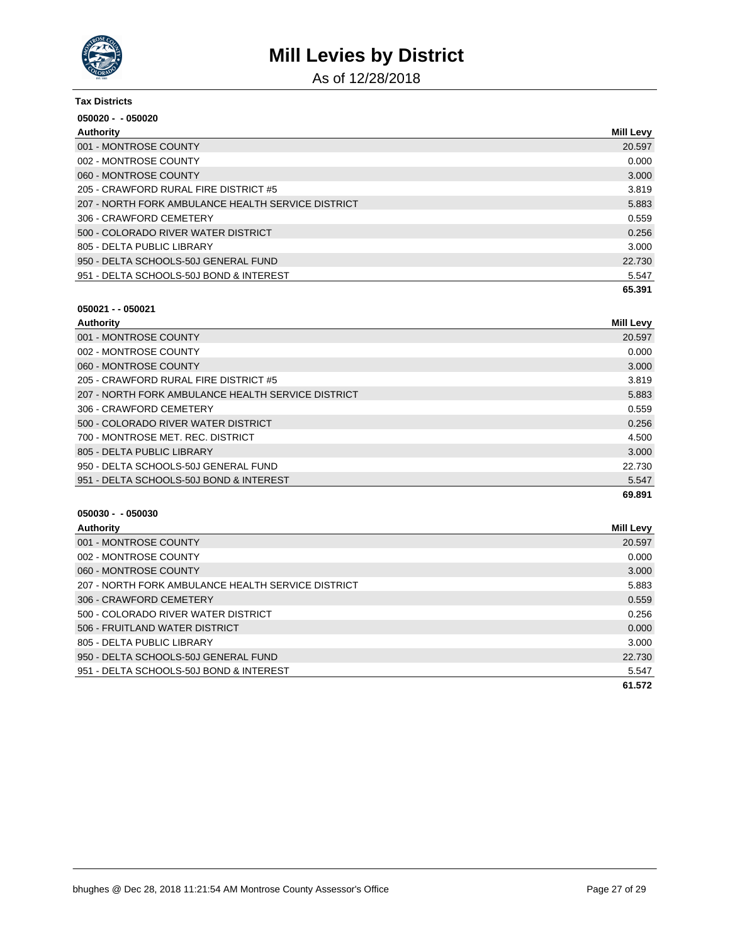

As of 12/28/2018

| <b>Tax Districts</b>                               |                  |
|----------------------------------------------------|------------------|
| $050020 - 050020$                                  |                  |
| Authority                                          | <b>Mill Levy</b> |
| 001 - MONTROSE COUNTY                              | 20.597           |
| 002 - MONTROSE COUNTY                              | 0.000            |
| 060 - MONTROSE COUNTY                              | 3.000            |
| 205 - CRAWFORD RURAL FIRE DISTRICT #5              | 3.819            |
| 207 - NORTH FORK AMBULANCE HEALTH SERVICE DISTRICT | 5.883            |
| 306 - CRAWFORD CEMETERY                            | 0.559            |
| 500 - COLORADO RIVER WATER DISTRICT                | 0.256            |
| 805 - DELTA PUBLIC LIBRARY                         | 3.000            |
| 950 - DELTA SCHOOLS-50J GENERAL FUND               | 22.730           |
| 951 - DELTA SCHOOLS-50J BOND & INTEREST            | 5.547            |
|                                                    | 65.391           |

### **050021 - - 050021**

| Authority                                          | <b>Mill Levy</b> |
|----------------------------------------------------|------------------|
| 001 - MONTROSE COUNTY                              | 20.597           |
| 002 - MONTROSE COUNTY                              | 0.000            |
| 060 - MONTROSE COUNTY                              | 3.000            |
| 205 - CRAWFORD RURAL FIRE DISTRICT #5              | 3.819            |
| 207 - NORTH FORK AMBULANCE HEALTH SERVICE DISTRICT | 5.883            |
| 306 - CRAWFORD CEMETERY                            | 0.559            |
| 500 - COLORADO RIVER WATER DISTRICT                | 0.256            |
| 700 - MONTROSE MET. REC. DISTRICT                  | 4.500            |
| 805 - DELTA PUBLIC LIBRARY                         | 3.000            |
| 950 - DELTA SCHOOLS-50J GENERAL FUND               | 22.730           |
| 951 - DELTA SCHOOLS-50J BOND & INTEREST            | 5.547            |
|                                                    | 69.891           |

| Authority                                          | Mill Levy |
|----------------------------------------------------|-----------|
| 001 - MONTROSE COUNTY                              | 20.597    |
| 002 - MONTROSE COUNTY                              | 0.000     |
| 060 - MONTROSE COUNTY                              | 3.000     |
| 207 - NORTH FORK AMBULANCE HEALTH SERVICE DISTRICT | 5.883     |
| 306 - CRAWFORD CEMETERY                            | 0.559     |
| 500 - COLORADO RIVER WATER DISTRICT                | 0.256     |
| 506 - FRUITLAND WATER DISTRICT                     | 0.000     |
| 805 - DELTA PUBLIC LIBRARY                         | 3.000     |
| 950 - DELTA SCHOOLS-50J GENERAL FUND               | 22.730    |
| 951 - DELTA SCHOOLS-50J BOND & INTEREST            | 5.547     |
|                                                    | 61.572    |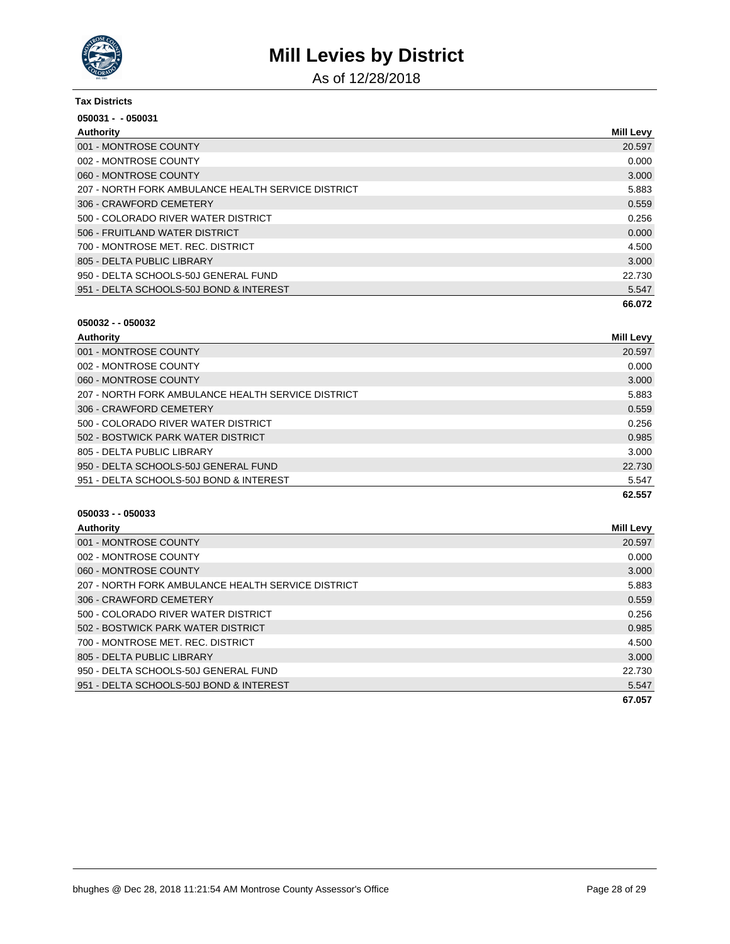

As of 12/28/2018

| <b>Tax Districts</b>                               |           |  |
|----------------------------------------------------|-----------|--|
| 050031 - - 050031                                  |           |  |
| Authority                                          | Mill Levy |  |
| 001 - MONTROSE COUNTY                              | 20.597    |  |
| 002 - MONTROSE COUNTY                              | 0.000     |  |
| 060 - MONTROSE COUNTY                              | 3.000     |  |
| 207 - NORTH FORK AMBULANCE HEALTH SERVICE DISTRICT | 5.883     |  |
| 306 - CRAWFORD CEMETERY                            | 0.559     |  |
| 500 - COLORADO RIVER WATER DISTRICT                | 0.256     |  |
| 506 - FRUITLAND WATER DISTRICT                     | 0.000     |  |
| 700 - MONTROSE MET. REC. DISTRICT                  | 4.500     |  |
| 805 - DELTA PUBLIC LIBRARY                         | 3.000     |  |
| 950 - DELTA SCHOOLS-50J GENERAL FUND               | 22.730    |  |
| 951 - DELTA SCHOOLS-50J BOND & INTEREST            | 5.547     |  |
|                                                    | 66.072    |  |

| Authority                                          | <b>Mill Levy</b> |
|----------------------------------------------------|------------------|
| 001 - MONTROSE COUNTY                              | 20.597           |
| 002 - MONTROSE COUNTY                              | 0.000            |
| 060 - MONTROSE COUNTY                              | 3.000            |
| 207 - NORTH FORK AMBULANCE HEALTH SERVICE DISTRICT | 5.883            |
| 306 - CRAWFORD CEMETERY                            | 0.559            |
| 500 - COLORADO RIVER WATER DISTRICT                | 0.256            |
| 502 - BOSTWICK PARK WATER DISTRICT                 | 0.985            |
| 805 - DELTA PUBLIC LIBRARY                         | 3.000            |
| 950 - DELTA SCHOOLS-50J GENERAL FUND               | 22.730           |
| 951 - DELTA SCHOOLS-50J BOND & INTEREST            | 5.547            |
|                                                    | 62.557           |

| Authority                                          | <b>Mill Levy</b> |
|----------------------------------------------------|------------------|
| 001 - MONTROSE COUNTY                              | 20.597           |
| 002 - MONTROSE COUNTY                              | 0.000            |
| 060 - MONTROSE COUNTY                              | 3.000            |
| 207 - NORTH FORK AMBULANCE HEALTH SERVICE DISTRICT | 5.883            |
| 306 - CRAWFORD CEMETERY                            | 0.559            |
| 500 - COLORADO RIVER WATER DISTRICT                | 0.256            |
| 502 - BOSTWICK PARK WATER DISTRICT                 | 0.985            |
| 700 - MONTROSE MET. REC. DISTRICT                  | 4.500            |
| 805 - DELTA PUBLIC LIBRARY                         | 3.000            |
| 950 - DELTA SCHOOLS-50J GENERAL FUND               | 22.730           |
| 951 - DELTA SCHOOLS-50J BOND & INTEREST            | 5.547            |
|                                                    | 67.057           |